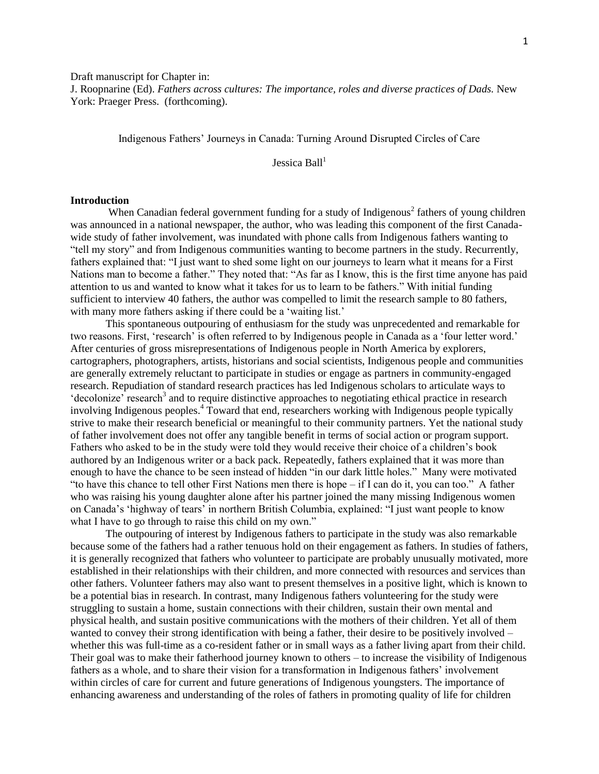Draft manuscript for Chapter in:

J. Roopnarine (Ed). *Fathers across cultures: The importance, roles and diverse practices of Dads.* New York: Praeger Press. (forthcoming).

Indigenous Fathers' Journeys in Canada: Turning Around Disrupted Circles of Care

Jessica Ball $<sup>1</sup>$ </sup>

### **Introduction**

When Canadian federal government funding for a study of Indigenous<sup>2</sup> fathers of young children was announced in a national newspaper, the author, who was leading this component of the first Canadawide study of father involvement, was inundated with phone calls from Indigenous fathers wanting to "tell my story" and from Indigenous communities wanting to become partners in the study. Recurrently, fathers explained that: "I just want to shed some light on our journeys to learn what it means for a First Nations man to become a father." They noted that: "As far as I know, this is the first time anyone has paid attention to us and wanted to know what it takes for us to learn to be fathers." With initial funding sufficient to interview 40 fathers, the author was compelled to limit the research sample to 80 fathers, with many more fathers asking if there could be a 'waiting list.'

This spontaneous outpouring of enthusiasm for the study was unprecedented and remarkable for two reasons. First, 'research' is often referred to by Indigenous people in Canada as a 'four letter word.' After centuries of gross misrepresentations of Indigenous people in North America by explorers, cartographers, photographers, artists, historians and social scientists, Indigenous people and communities are generally extremely reluctant to participate in studies or engage as partners in community-engaged research. Repudiation of standard research practices has led Indigenous scholars to articulate ways to 'decolonize' research<sup>3</sup> and to require distinctive approaches to negotiating ethical practice in research involving Indigenous peoples.<sup>4</sup> Toward that end, researchers working with Indigenous people typically strive to make their research beneficial or meaningful to their community partners. Yet the national study of father involvement does not offer any tangible benefit in terms of social action or program support. Fathers who asked to be in the study were told they would receive their choice of a children's book authored by an Indigenous writer or a back pack. Repeatedly, fathers explained that it was more than enough to have the chance to be seen instead of hidden "in our dark little holes." Many were motivated "to have this chance to tell other First Nations men there is hope – if I can do it, you can too." A father who was raising his young daughter alone after his partner joined the many missing Indigenous women on Canada's 'highway of tears' in northern British Columbia, explained: "I just want people to know what I have to go through to raise this child on my own."

The outpouring of interest by Indigenous fathers to participate in the study was also remarkable because some of the fathers had a rather tenuous hold on their engagement as fathers. In studies of fathers, it is generally recognized that fathers who volunteer to participate are probably unusually motivated, more established in their relationships with their children, and more connected with resources and services than other fathers. Volunteer fathers may also want to present themselves in a positive light, which is known to be a potential bias in research. In contrast, many Indigenous fathers volunteering for the study were struggling to sustain a home, sustain connections with their children, sustain their own mental and physical health, and sustain positive communications with the mothers of their children. Yet all of them wanted to convey their strong identification with being a father, their desire to be positively involved – whether this was full-time as a co-resident father or in small ways as a father living apart from their child. Their goal was to make their fatherhood journey known to others – to increase the visibility of Indigenous fathers as a whole, and to share their vision for a transformation in Indigenous fathers' involvement within circles of care for current and future generations of Indigenous youngsters. The importance of enhancing awareness and understanding of the roles of fathers in promoting quality of life for children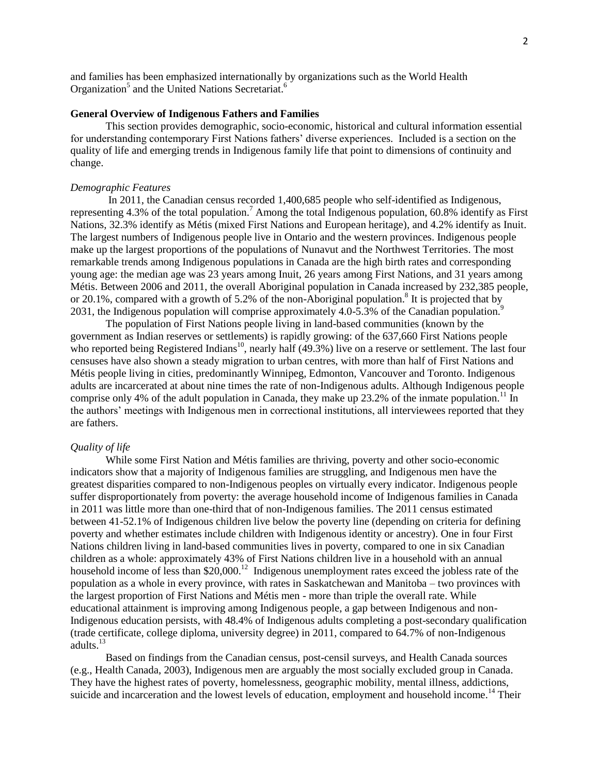and families has been emphasized internationally by organizations such as the World Health Organization<sup>5</sup> and the United Nations Secretariat.<sup>6</sup>

### **General Overview of Indigenous Fathers and Families**

This section provides demographic, socio-economic, historical and cultural information essential for understanding contemporary First Nations fathers' diverse experiences. Included is a section on the quality of life and emerging trends in Indigenous family life that point to dimensions of continuity and change.

## *Demographic Features*

In 2011, the Canadian census recorded 1,400,685 people who self-identified as Indigenous, representing 4.3% of the total population.<sup>7</sup> Among the total Indigenous population, 60.8% identify as First Nations, 32.3% identify as Métis (mixed First Nations and European heritage), and 4.2% identify as Inuit. The largest numbers of Indigenous people live in Ontario and the western provinces. Indigenous people make up the largest proportions of the populations of Nunavut and the Northwest Territories. The most remarkable trends among Indigenous populations in Canada are the high birth rates and corresponding young age: the median age was 23 years among Inuit, 26 years among First Nations, and 31 years among Métis. Between 2006 and 2011, the overall Aboriginal population in Canada increased by 232,385 people, or 20.1%, compared with a growth of 5.2% of the non-Aboriginal population.<sup>8</sup> It is projected that by 2031, the Indigenous population will comprise approximately 4.0-5.3% of the Canadian population.<sup>9</sup>

The population of First Nations people living in land-based communities (known by the government as Indian reserves or settlements) is rapidly growing: of the 637,660 First Nations people who reported being Registered Indians<sup>10</sup>, nearly half (49.3%) live on a reserve or settlement. The last four censuses have also shown a steady migration to urban centres, with more than half of First Nations and Métis people living in cities, predominantly Winnipeg, Edmonton, Vancouver and Toronto. Indigenous adults are incarcerated at about nine times the rate of non-Indigenous adults. Although Indigenous people comprise only 4% of the adult population in Canada, they make up 23.2% of the inmate population.<sup>11</sup> In the authors' meetings with Indigenous men in correctional institutions, all interviewees reported that they are fathers.

### *Quality of life*

While some First Nation and Métis families are thriving, poverty and other socio-economic indicators show that a majority of Indigenous families are struggling, and Indigenous men have the greatest disparities compared to non-Indigenous peoples on virtually every indicator. Indigenous people suffer disproportionately from poverty: the average household income of Indigenous families in Canada in 2011 was little more than one-third that of non-Indigenous families. The 2011 census estimated between 41-52.1% of Indigenous children live below the poverty line (depending on criteria for defining poverty and whether estimates include children with Indigenous identity or ancestry). One in four First Nations children living in land-based communities lives in poverty, compared to one in six Canadian children as a whole: approximately 43% of First Nations children live in a household with an annual household income of less than  $$20,000$ <sup>12</sup> Indigenous unemployment rates exceed the jobless rate of the population as a whole in every province, with rates in Saskatchewan and Manitoba – two provinces with the largest proportion of First Nations and Métis men - more than triple the overall rate. While educational attainment is improving among Indigenous people, a gap between Indigenous and non-Indigenous education persists, with 48.4% of Indigenous adults completing a post-secondary qualification (trade certificate, college diploma, university degree) in 2011, compared to 64.7% of non-Indigenous adults.<sup>13</sup>

Based on findings from the Canadian census, post-censil surveys, and Health Canada sources (e.g., Health Canada, 2003), Indigenous men are arguably the most socially excluded group in Canada. They have the highest rates of poverty, homelessness, geographic mobility, mental illness, addictions, suicide and incarceration and the lowest levels of education, employment and household income.<sup>14</sup> Their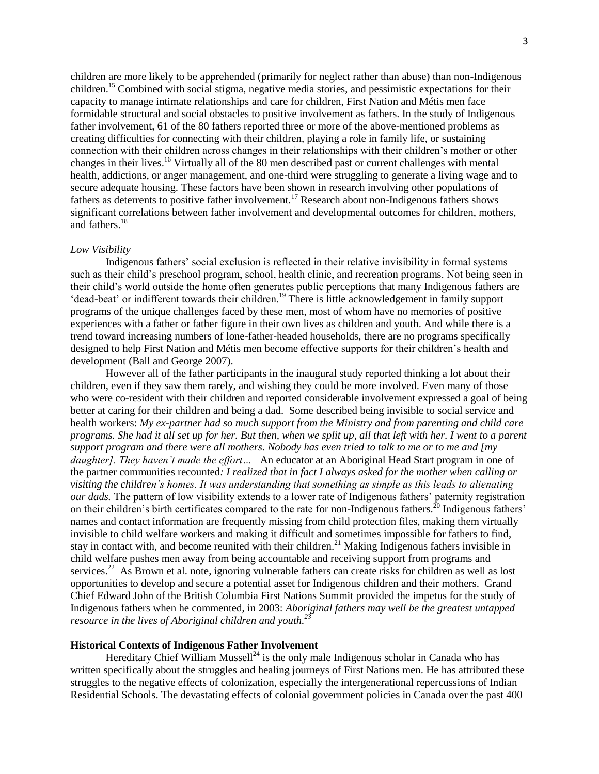children are more likely to be apprehended (primarily for neglect rather than abuse) than non-Indigenous children.<sup>15</sup> Combined with social stigma, negative media stories, and pessimistic expectations for their capacity to manage intimate relationships and care for children, First Nation and Métis men face formidable structural and social obstacles to positive involvement as fathers. In the study of Indigenous father involvement, 61 of the 80 fathers reported three or more of the above-mentioned problems as creating difficulties for connecting with their children, playing a role in family life, or sustaining connection with their children across changes in their relationships with their children's mother or other changes in their lives.<sup>16</sup> Virtually all of the 80 men described past or current challenges with mental health, addictions, or anger management, and one-third were struggling to generate a living wage and to secure adequate housing. These factors have been shown in research involving other populations of fathers as deterrents to positive father involvement.<sup>17</sup> Research about non-Indigenous fathers shows significant correlations between father involvement and developmental outcomes for children, mothers, and fathers.<sup>18</sup>

### *Low Visibility*

Indigenous fathers' social exclusion is reflected in their relative invisibility in formal systems such as their child's preschool program, school, health clinic, and recreation programs. Not being seen in their child's world outside the home often generates public perceptions that many Indigenous fathers are 'dead-beat' or indifferent towards their children.<sup>19</sup> There is little acknowledgement in family support programs of the unique challenges faced by these men, most of whom have no memories of positive experiences with a father or father figure in their own lives as children and youth. And while there is a trend toward increasing numbers of lone-father-headed households, there are no programs specifically designed to help First Nation and Métis men become effective supports for their children's health and development (Ball and George 2007).

However all of the father participants in the inaugural study reported thinking a lot about their children, even if they saw them rarely, and wishing they could be more involved. Even many of those who were co-resident with their children and reported considerable involvement expressed a goal of being better at caring for their children and being a dad. Some described being invisible to social service and health workers: *My ex-partner had so much support from the Ministry and from parenting and child care programs. She had it all set up for her. But then, when we split up, all that left with her. I went to a parent support program and there were all mothers. Nobody has even tried to talk to me or to me and [my daughter]. They haven't made the effort*... An educator at an Aboriginal Head Start program in one of the partner communities recounted*: I realized that in fact I always asked for the mother when calling or visiting the children's homes. It was understanding that something as simple as this leads to alienating our dads.* The pattern of low visibility extends to a lower rate of Indigenous fathers' paternity registration on their children's birth certificates compared to the rate for non-Indigenous fathers.<sup>20</sup> Indigenous fathers' names and contact information are frequently missing from child protection files, making them virtually invisible to child welfare workers and making it difficult and sometimes impossible for fathers to find, stay in contact with, and become reunited with their children.<sup>21</sup> Making Indigenous fathers invisible in child welfare pushes men away from being accountable and receiving support from programs and services.<sup>22</sup> As Brown et al. note, ignoring vulnerable fathers can create risks for children as well as lost opportunities to develop and secure a potential asset for Indigenous children and their mothers. Grand Chief Edward John of the British Columbia First Nations Summit provided the impetus for the study of Indigenous fathers when he commented, in 2003: *Aboriginal fathers may well be the greatest untapped resource in the lives of Aboriginal children and youth.<sup>23</sup>*

# **Historical Contexts of Indigenous Father Involvement**

Hereditary Chief William Mussell<sup>24</sup> is the only male Indigenous scholar in Canada who has written specifically about the struggles and healing journeys of First Nations men. He has attributed these struggles to the negative effects of colonization, especially the intergenerational repercussions of Indian Residential Schools. The devastating effects of colonial government policies in Canada over the past 400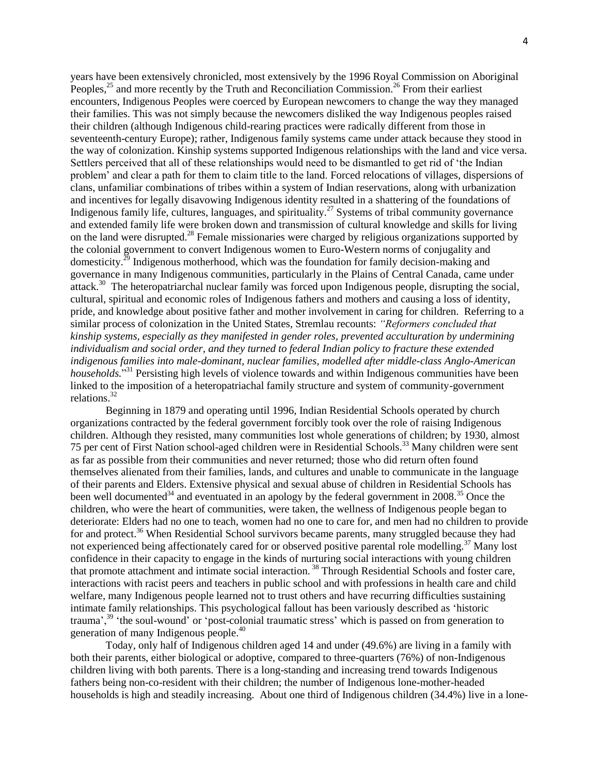years have been extensively chronicled, most extensively by the 1996 Royal Commission on Aboriginal Peoples, $^{25}$  and more recently by the Truth and Reconciliation Commission.<sup>26</sup> From their earliest encounters, Indigenous Peoples were coerced by European newcomers to change the way they managed their families. This was not simply because the newcomers disliked the way Indigenous peoples raised their children (although Indigenous child-rearing practices were radically different from those in seventeenth-century Europe); rather, Indigenous family systems came under attack because they stood in the way of colonization. Kinship systems supported Indigenous relationships with the land and vice versa. Settlers perceived that all of these relationships would need to be dismantled to get rid of 'the Indian problem' and clear a path for them to claim title to the land. Forced relocations of villages, dispersions of clans, unfamiliar combinations of tribes within a system of Indian reservations, along with urbanization and incentives for legally disavowing Indigenous identity resulted in a shattering of the foundations of Indigenous family life, cultures, languages, and spirituality.<sup>27</sup> Systems of tribal community governance and extended family life were broken down and transmission of cultural knowledge and skills for living on the land were disrupted.<sup>28</sup> Female missionaries were charged by religious organizations supported by the colonial government to convert Indigenous women to Euro-Western norms of conjugality and domesticity.<sup> $\overline{29}$ </sup> Indigenous motherhood, which was the foundation for family decision-making and governance in many Indigenous communities, particularly in the Plains of Central Canada, came under attack.<sup>30</sup> The heteropatriarchal nuclear family was forced upon Indigenous people, disrupting the social, cultural, spiritual and economic roles of Indigenous fathers and mothers and causing a loss of identity, pride, and knowledge about positive father and mother involvement in caring for children. Referring to a similar process of colonization in the United States, Stremlau recounts: *"Reformers concluded that kinship systems, especially as they manifested in gender roles, prevented acculturation by undermining individualism and social order, and they turned to federal Indian policy to fracture these extended indigenous families into male-dominant, nuclear families, modelled after middle-class Anglo-American households.*" <sup>31</sup> Persisting high levels of violence towards and within Indigenous communities have been linked to the imposition of a heteropatriachal family structure and system of community-government relations.<sup>32</sup>

Beginning in 1879 and operating until 1996, Indian Residential Schools operated by church organizations contracted by the federal government forcibly took over the role of raising Indigenous children. Although they resisted, many communities lost whole generations of children; by 1930, almost 75 per cent of First Nation school-aged children were in Residential Schools.<sup>33</sup> Many children were sent as far as possible from their communities and never returned; those who did return often found themselves alienated from their families, lands, and cultures and unable to communicate in the language of their parents and Elders. Extensive physical and sexual abuse of children in Residential Schools has been well documented<sup>34</sup> and eventuated in an apology by the federal government in 2008.<sup>35</sup> Once the children, who were the heart of communities, were taken, the wellness of Indigenous people began to deteriorate: Elders had no one to teach, women had no one to care for, and men had no children to provide for and protect.<sup>36</sup> When Residential School survivors became parents, many struggled because they had not experienced being affectionately cared for or observed positive parental role modelling.<sup>37</sup> Many lost confidence in their capacity to engage in the kinds of nurturing social interactions with young children that promote attachment and intimate social interaction.<sup>38</sup> Through Residential Schools and foster care, interactions with racist peers and teachers in public school and with professions in health care and child welfare, many Indigenous people learned not to trust others and have recurring difficulties sustaining intimate family relationships. This psychological fallout has been variously described as 'historic trauma<sup>', 39</sup> 'the soul-wound' or 'post-colonial traumatic stress' which is passed on from generation to generation of many Indigenous people.<sup>40</sup>

Today, only half of Indigenous children aged 14 and under (49.6%) are living in a family with both their parents, either biological or adoptive, compared to three-quarters (76%) of non-Indigenous children living with both parents. There is a long-standing and increasing trend towards Indigenous fathers being non-co-resident with their children; the number of Indigenous lone-mother-headed households is high and steadily increasing. About one third of Indigenous children (34.4%) live in a lone-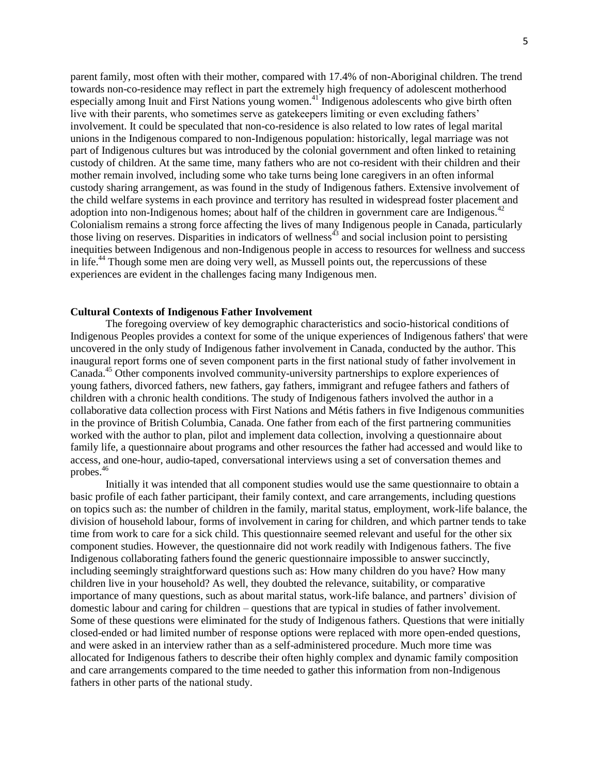parent family, most often with their mother, compared with 17.4% of non-Aboriginal children. The trend towards non-co-residence may reflect in part the extremely high frequency of adolescent motherhood especially among Inuit and First Nations young women.<sup>41</sup> Indigenous adolescents who give birth often live with their parents, who sometimes serve as gatekeepers limiting or even excluding fathers' involvement. It could be speculated that non-co-residence is also related to low rates of legal marital unions in the Indigenous compared to non-Indigenous population: historically, legal marriage was not part of Indigenous cultures but was introduced by the colonial government and often linked to retaining custody of children. At the same time, many fathers who are not co-resident with their children and their mother remain involved, including some who take turns being lone caregivers in an often informal custody sharing arrangement, as was found in the study of Indigenous fathers. Extensive involvement of the child welfare systems in each province and territory has resulted in widespread foster placement and adoption into non-Indigenous homes; about half of the children in government care are Indigenous.<sup>42</sup> Colonialism remains a strong force affecting the lives of many Indigenous people in Canada, particularly those living on reserves. Disparities in indicators of wellness<sup>43</sup> and social inclusion point to persisting inequities between Indigenous and non-Indigenous people in access to resources for wellness and success in life.<sup>44</sup> Though some men are doing very well, as Mussell points out, the repercussions of these experiences are evident in the challenges facing many Indigenous men.

## **Cultural Contexts of Indigenous Father Involvement**

The foregoing overview of key demographic characteristics and socio-historical conditions of Indigenous Peoples provides a context for some of the unique experiences of Indigenous fathers' that were uncovered in the only study of Indigenous father involvement in Canada, conducted by the author. This inaugural report forms one of seven component parts in the first national study of father involvement in Canada.<sup>45</sup> Other components involved community-university partnerships to explore experiences of young fathers, divorced fathers, new fathers, gay fathers, immigrant and refugee fathers and fathers of children with a chronic health conditions. The study of Indigenous fathers involved the author in a collaborative data collection process with First Nations and Métis fathers in five Indigenous communities in the province of British Columbia, Canada. One father from each of the first partnering communities worked with the author to plan, pilot and implement data collection, involving a questionnaire about family life, a questionnaire about programs and other resources the father had accessed and would like to access, and one-hour, audio-taped, conversational interviews using a set of conversation themes and probes.<sup>46</sup>

Initially it was intended that all component studies would use the same questionnaire to obtain a basic profile of each father participant, their family context, and care arrangements, including questions on topics such as: the number of children in the family, marital status, employment, work-life balance, the division of household labour, forms of involvement in caring for children, and which partner tends to take time from work to care for a sick child. This questionnaire seemed relevant and useful for the other six component studies. However, the questionnaire did not work readily with Indigenous fathers. The five Indigenous collaborating fathers found the generic questionnaire impossible to answer succinctly, including seemingly straightforward questions such as: How many children do you have? How many children live in your household? As well, they doubted the relevance, suitability, or comparative importance of many questions, such as about marital status, work-life balance, and partners' division of domestic labour and caring for children – questions that are typical in studies of father involvement. Some of these questions were eliminated for the study of Indigenous fathers. Questions that were initially closed-ended or had limited number of response options were replaced with more open-ended questions, and were asked in an interview rather than as a self-administered procedure. Much more time was allocated for Indigenous fathers to describe their often highly complex and dynamic family composition and care arrangements compared to the time needed to gather this information from non-Indigenous fathers in other parts of the national study.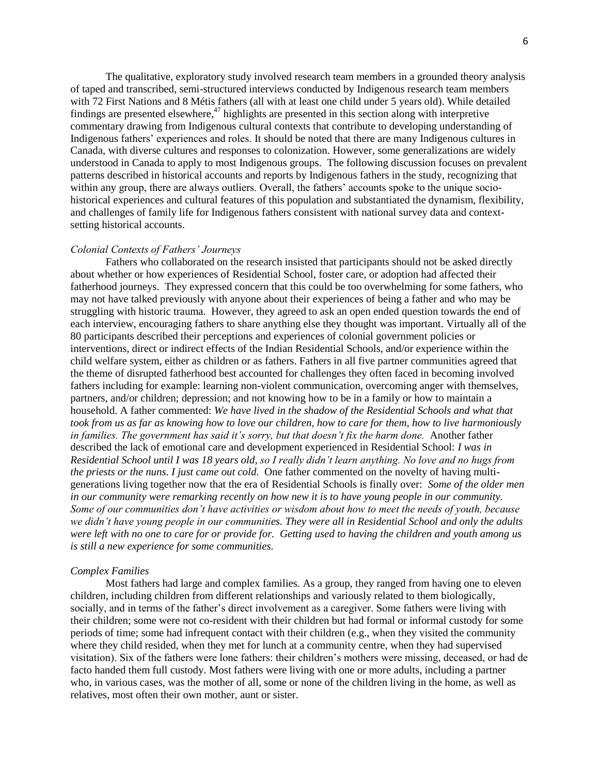The qualitative, exploratory study involved research team members in a grounded theory analysis of taped and transcribed, semi-structured interviews conducted by Indigenous research team members with 72 First Nations and 8 Métis fathers (all with at least one child under 5 years old). While detailed findings are presented elsewhere,<sup>47</sup> highlights are presented in this section along with interpretive commentary drawing from Indigenous cultural contexts that contribute to developing understanding of Indigenous fathers' experiences and roles. It should be noted that there are many Indigenous cultures in Canada, with diverse cultures and responses to colonization. However, some generalizations are widely understood in Canada to apply to most Indigenous groups. The following discussion focuses on prevalent patterns described in historical accounts and reports by Indigenous fathers in the study, recognizing that within any group, there are always outliers. Overall, the fathers' accounts spoke to the unique sociohistorical experiences and cultural features of this population and substantiated the dynamism, flexibility, and challenges of family life for Indigenous fathers consistent with national survey data and contextsetting historical accounts.

### *Colonial Contexts of Fathers' Journeys*

Fathers who collaborated on the research insisted that participants should not be asked directly about whether or how experiences of Residential School, foster care, or adoption had affected their fatherhood journeys. They expressed concern that this could be too overwhelming for some fathers, who may not have talked previously with anyone about their experiences of being a father and who may be struggling with historic trauma. However, they agreed to ask an open ended question towards the end of each interview, encouraging fathers to share anything else they thought was important. Virtually all of the 80 participants described their perceptions and experiences of colonial government policies or interventions, direct or indirect effects of the Indian Residential Schools, and/or experience within the child welfare system, either as children or as fathers. Fathers in all five partner communities agreed that the theme of disrupted fatherhood best accounted for challenges they often faced in becoming involved fathers including for example: learning non-violent communication, overcoming anger with themselves, partners, and/or children; depression; and not knowing how to be in a family or how to maintain a household. A father commented: *We have lived in the shadow of the Residential Schools and what that took from us as far as knowing how to love our children, how to care for them, how to live harmoniously in families. The government has said it's sorry, but that doesn't fix the harm done.* Another father described the lack of emotional care and development experienced in Residential School: *I was in Residential School until I was 18 years old, so I really didn't learn anything. No love and no hugs from the priests or the nuns. I just came out cold.* One father commented on the novelty of having multigenerations living together now that the era of Residential Schools is finally over: *Some of the older men in our community were remarking recently on how new it is to have young people in our community. Some of our communities don't have activities or wisdom about how to meet the needs of youth, because we didn't have young people in our communities. They were all in Residential School and only the adults were left with no one to care for or provide for. Getting used to having the children and youth among us is still a new experience for some communities.* 

### *Complex Families*

Most fathers had large and complex families. As a group, they ranged from having one to eleven children, including children from different relationships and variously related to them biologically, socially, and in terms of the father's direct involvement as a caregiver. Some fathers were living with their children; some were not co-resident with their children but had formal or informal custody for some periods of time; some had infrequent contact with their children (e.g., when they visited the community where they child resided, when they met for lunch at a community centre, when they had supervised visitation). Six of the fathers were lone fathers: their children's mothers were missing, deceased, or had de facto handed them full custody. Most fathers were living with one or more adults, including a partner who, in various cases, was the mother of all, some or none of the children living in the home, as well as relatives, most often their own mother, aunt or sister.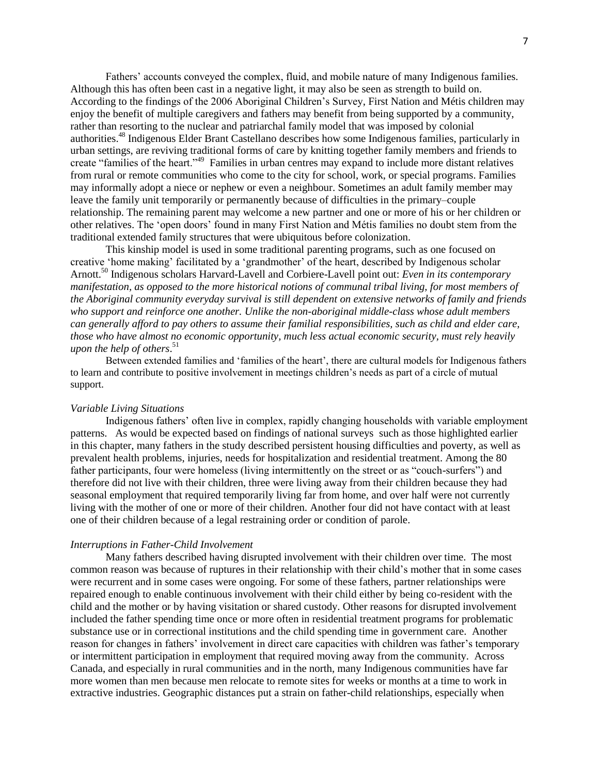Fathers' accounts conveyed the complex, fluid, and mobile nature of many Indigenous families. Although this has often been cast in a negative light, it may also be seen as strength to build on. According to the findings of the 2006 Aboriginal Children's Survey, First Nation and Métis children may enjoy the benefit of multiple caregivers and fathers may benefit from being supported by a community, rather than resorting to the nuclear and patriarchal family model that was imposed by colonial authorities.<sup>48</sup> Indigenous Elder Brant Castellano describes how some Indigenous families, particularly in urban settings, are reviving traditional forms of care by knitting together family members and friends to create "families of the heart."<sup>49</sup> Families in urban centres may expand to include more distant relatives from rural or remote communities who come to the city for school, work, or special programs. Families may informally adopt a niece or nephew or even a neighbour. Sometimes an adult family member may leave the family unit temporarily or permanently because of difficulties in the primary–couple relationship. The remaining parent may welcome a new partner and one or more of his or her children or other relatives. The 'open doors' found in many First Nation and Métis families no doubt stem from the traditional extended family structures that were ubiquitous before colonization.

This kinship model is used in some traditional parenting programs, such as one focused on creative 'home making' facilitated by a 'grandmother' of the heart, described by Indigenous scholar Arnott.<sup>50</sup> Indigenous scholars Harvard-Lavell and Corbiere-Lavell point out: *Even in its contemporary manifestation, as opposed to the more historical notions of communal tribal living, for most members of the Aboriginal community everyday survival is still dependent on extensive networks of family and friends who support and reinforce one another. Unlike the non-aboriginal middle-class whose adult members can generally afford to pay others to assume their familial responsibilities, such as child and elder care, those who have almost no economic opportunity, much less actual economic security, must rely heavily upon the help of others*. 51

Between extended families and 'families of the heart', there are cultural models for Indigenous fathers to learn and contribute to positive involvement in meetings children's needs as part of a circle of mutual support.

## *Variable Living Situations*

Indigenous fathers' often live in complex, rapidly changing households with variable employment patterns. As would be expected based on findings of national surveys such as those highlighted earlier in this chapter, many fathers in the study described persistent housing difficulties and poverty, as well as prevalent health problems, injuries, needs for hospitalization and residential treatment. Among the 80 father participants, four were homeless (living intermittently on the street or as "couch-surfers") and therefore did not live with their children, three were living away from their children because they had seasonal employment that required temporarily living far from home, and over half were not currently living with the mother of one or more of their children. Another four did not have contact with at least one of their children because of a legal restraining order or condition of parole.

### *Interruptions in Father-Child Involvement*

Many fathers described having disrupted involvement with their children over time. The most common reason was because of ruptures in their relationship with their child's mother that in some cases were recurrent and in some cases were ongoing. For some of these fathers, partner relationships were repaired enough to enable continuous involvement with their child either by being co-resident with the child and the mother or by having visitation or shared custody. Other reasons for disrupted involvement included the father spending time once or more often in residential treatment programs for problematic substance use or in correctional institutions and the child spending time in government care. Another reason for changes in fathers' involvement in direct care capacities with children was father's temporary or intermittent participation in employment that required moving away from the community. Across Canada, and especially in rural communities and in the north, many Indigenous communities have far more women than men because men relocate to remote sites for weeks or months at a time to work in extractive industries. Geographic distances put a strain on father-child relationships, especially when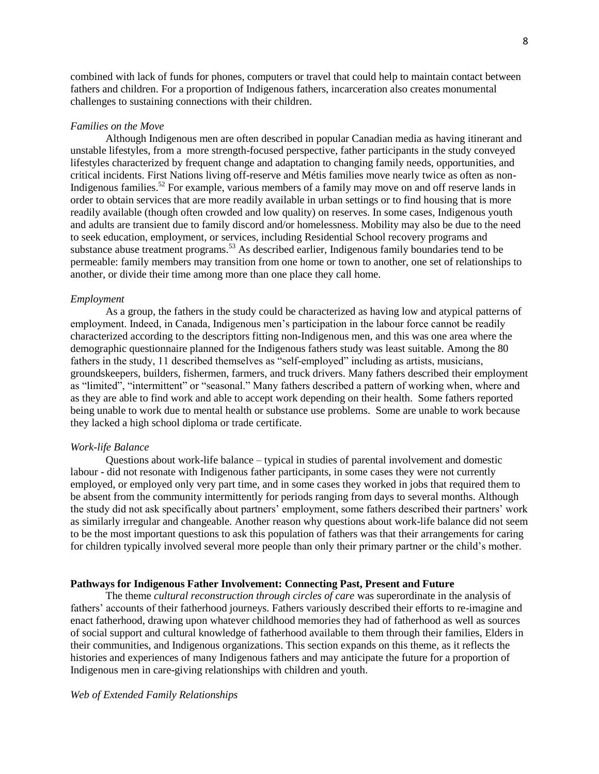combined with lack of funds for phones, computers or travel that could help to maintain contact between fathers and children. For a proportion of Indigenous fathers, incarceration also creates monumental challenges to sustaining connections with their children.

### *Families on the Move*

Although Indigenous men are often described in popular Canadian media as having itinerant and unstable lifestyles, from a more strength-focused perspective, father participants in the study conveyed lifestyles characterized by frequent change and adaptation to changing family needs, opportunities, and critical incidents. First Nations living off-reserve and Métis families move nearly twice as often as non-Indigenous families.<sup>52</sup> For example, various members of a family may move on and off reserve lands in order to obtain services that are more readily available in urban settings or to find housing that is more readily available (though often crowded and low quality) on reserves. In some cases, Indigenous youth and adults are transient due to family discord and/or homelessness. Mobility may also be due to the need to seek education, employment, or services, including Residential School recovery programs and substance abuse treatment programs.<sup>53</sup> As described earlier, Indigenous family boundaries tend to be permeable: family members may transition from one home or town to another, one set of relationships to another, or divide their time among more than one place they call home.

#### *Employment*

As a group, the fathers in the study could be characterized as having low and atypical patterns of employment. Indeed, in Canada, Indigenous men's participation in the labour force cannot be readily characterized according to the descriptors fitting non-Indigenous men, and this was one area where the demographic questionnaire planned for the Indigenous fathers study was least suitable. Among the 80 fathers in the study, 11 described themselves as "self-employed" including as artists, musicians, groundskeepers, builders, fishermen, farmers, and truck drivers. Many fathers described their employment as "limited", "intermittent" or "seasonal." Many fathers described a pattern of working when, where and as they are able to find work and able to accept work depending on their health. Some fathers reported being unable to work due to mental health or substance use problems. Some are unable to work because they lacked a high school diploma or trade certificate.

## *Work-life Balance*

Questions about work-life balance – typical in studies of parental involvement and domestic labour - did not resonate with Indigenous father participants, in some cases they were not currently employed, or employed only very part time, and in some cases they worked in jobs that required them to be absent from the community intermittently for periods ranging from days to several months. Although the study did not ask specifically about partners' employment, some fathers described their partners' work as similarly irregular and changeable. Another reason why questions about work-life balance did not seem to be the most important questions to ask this population of fathers was that their arrangements for caring for children typically involved several more people than only their primary partner or the child's mother.

### **Pathways for Indigenous Father Involvement: Connecting Past, Present and Future**

The theme *cultural reconstruction through circles of care* was superordinate in the analysis of fathers' accounts of their fatherhood journeys. Fathers variously described their efforts to re-imagine and enact fatherhood, drawing upon whatever childhood memories they had of fatherhood as well as sources of social support and cultural knowledge of fatherhood available to them through their families, Elders in their communities, and Indigenous organizations. This section expands on this theme, as it reflects the histories and experiences of many Indigenous fathers and may anticipate the future for a proportion of Indigenous men in care-giving relationships with children and youth.

## *Web of Extended Family Relationships*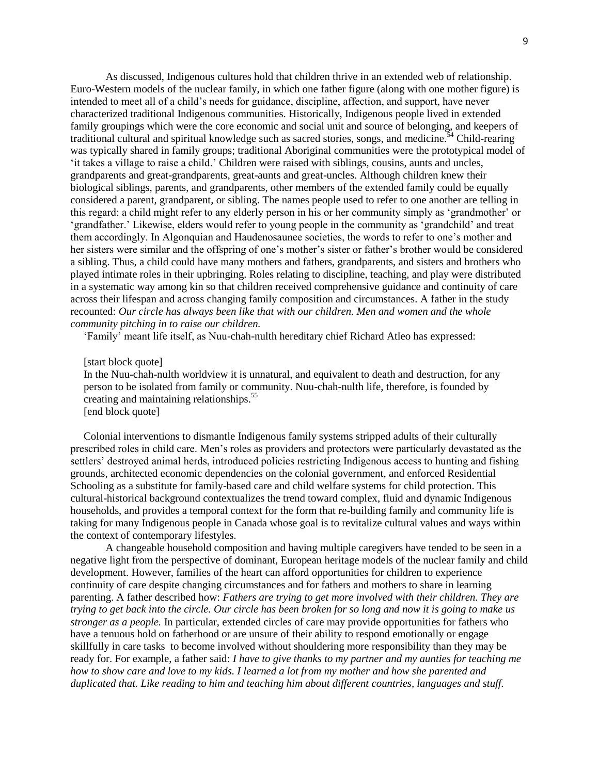As discussed, Indigenous cultures hold that children thrive in an extended web of relationship. Euro-Western models of the nuclear family, in which one father figure (along with one mother figure) is intended to meet all of a child's needs for guidance, discipline, affection, and support, have never characterized traditional Indigenous communities. Historically, Indigenous people lived in extended family groupings which were the core economic and social unit and source of belonging, and keepers of traditional cultural and spiritual knowledge such as sacred stories, songs, and medicine.<sup>54</sup> Child-rearing was typically shared in family groups; traditional Aboriginal communities were the prototypical model of 'it takes a village to raise a child.' Children were raised with siblings, cousins, aunts and uncles, grandparents and great-grandparents, great-aunts and great-uncles. Although children knew their biological siblings, parents, and grandparents, other members of the extended family could be equally considered a parent, grandparent, or sibling. The names people used to refer to one another are telling in this regard: a child might refer to any elderly person in his or her community simply as 'grandmother' or 'grandfather.' Likewise, elders would refer to young people in the community as 'grandchild' and treat them accordingly. In Algonquian and Haudenosaunee societies, the words to refer to one's mother and her sisters were similar and the offspring of one's mother's sister or father's brother would be considered a sibling. Thus, a child could have many mothers and fathers, grandparents, and sisters and brothers who played intimate roles in their upbringing. Roles relating to discipline, teaching, and play were distributed in a systematic way among kin so that children received comprehensive guidance and continuity of care across their lifespan and across changing family composition and circumstances. A father in the study recounted: *Our circle has always been like that with our children. Men and women and the whole community pitching in to raise our children.* 

'Family' meant life itself, as Nuu-chah-nulth hereditary chief Richard Atleo has expressed:

## [start block quote]

In the Nuu-chah-nulth worldview it is unnatural, and equivalent to death and destruction, for any person to be isolated from family or community. Nuu-chah-nulth life, therefore, is founded by creating and maintaining relationships.<sup>55</sup> [end block quote]

Colonial interventions to dismantle Indigenous family systems stripped adults of their culturally prescribed roles in child care. Men's roles as providers and protectors were particularly devastated as the settlers' destroyed animal herds, introduced policies restricting Indigenous access to hunting and fishing grounds, architected economic dependencies on the colonial government, and enforced Residential Schooling as a substitute for family-based care and child welfare systems for child protection. This cultural-historical background contextualizes the trend toward complex, fluid and dynamic Indigenous households, and provides a temporal context for the form that re-building family and community life is taking for many Indigenous people in Canada whose goal is to revitalize cultural values and ways within the context of contemporary lifestyles.

A changeable household composition and having multiple caregivers have tended to be seen in a negative light from the perspective of dominant, European heritage models of the nuclear family and child development. However, families of the heart can afford opportunities for children to experience continuity of care despite changing circumstances and for fathers and mothers to share in learning parenting. A father described how: *Fathers are trying to get more involved with their children. They are trying to get back into the circle. Our circle has been broken for so long and now it is going to make us stronger as a people.* In particular, extended circles of care may provide opportunities for fathers who have a tenuous hold on fatherhood or are unsure of their ability to respond emotionally or engage skillfully in care tasks to become involved without shouldering more responsibility than they may be ready for. For example, a father said: *I have to give thanks to my partner and my aunties for teaching me how to show care and love to my kids. I learned a lot from my mother and how she parented and duplicated that. Like reading to him and teaching him about different countries, languages and stuff.*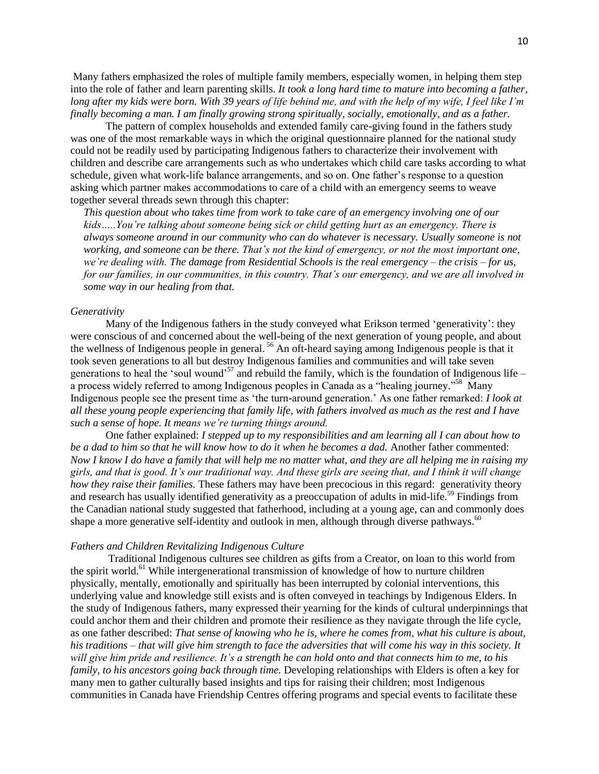Many fathers emphasized the roles of multiple family members, especially women, in helping them step into the role of father and learn parenting skills. *It took a long hard time to mature into becoming a father, long after my kids were born. With 39 years of life behind me, and with the help of my wife, I feel like I'm finally becoming a man. I am finally growing strong spiritually, socially, emotionally, and as a father.*

The pattern of complex households and extended family care-giving found in the fathers study was one of the most remarkable ways in which the original questionnaire planned for the national study could not be readily used by participating Indigenous fathers to characterize their involvement with children and describe care arrangements such as who undertakes which child care tasks according to what schedule, given what work-life balance arrangements, and so on. One father's response to a question asking which partner makes accommodations to care of a child with an emergency seems to weave together several threads sewn through this chapter:

*This question about who takes time from work to take care of an emergency involving one of our kids…..You're talking about someone being sick or child getting hurt as an emergency. There is always someone around in our community who can do whatever is necessary. Usually someone is not working, and someone can be there. That's not the kind of emergency, or not the most important one, we're dealing with. The damage from Residential Schools is the real emergency – the crisis – for us, for our families, in our communities, in this country. That's our emergency, and we are all involved in some way in our healing from that.*

### *Generativity*

Many of the Indigenous fathers in the study conveyed what Erikson termed 'generativity': they were conscious of and concerned about the well-being of the next generation of young people, and about the wellness of Indigenous people in general. <sup>56</sup> An oft-heard saying among Indigenous people is that it took seven generations to all but destroy Indigenous families and communities and will take seven generations to heal the 'soul wound'<sup>57</sup> and rebuild the family, which is the foundation of Indigenous life – a process widely referred to among Indigenous peoples in Canada as a "healing journey."<sup>58</sup> Many Indigenous people see the present time as 'the turn-around generation.' As one father remarked: *I look at all these young people experiencing that family life, with fathers involved as much as the rest and I have such a sense of hope. It means we're turning things around.*

One father explained: *I stepped up to my responsibilities and am learning all I can about how to be a dad to him so that he will know how to do it when he becomes a dad.* Another father commented: *Now I know I do have a family that will help me no matter what, and they are all helping me in raising my girls, and that is good. It's our traditional way. And these girls are seeing that, and I think it will change how they raise their families.* These fathers may have been precocious in this regard: generativity theory and research has usually identified generativity as a preoccupation of adults in mid-life.<sup>59</sup> Findings from the Canadian national study suggested that fatherhood, including at a young age, can and commonly does shape a more generative self-identity and outlook in men, although through diverse pathways. $60$ 

## *Fathers and Children Revitalizing Indigenous Culture*

Traditional Indigenous cultures see children as gifts from a Creator, on loan to this world from the spirit world.<sup>61</sup> While intergenerational transmission of knowledge of how to nurture children physically, mentally, emotionally and spiritually has been interrupted by colonial interventions, this underlying value and knowledge still exists and is often conveyed in teachings by Indigenous Elders. In the study of Indigenous fathers, many expressed their yearning for the kinds of cultural underpinnings that could anchor them and their children and promote their resilience as they navigate through the life cycle, as one father described: *That sense of knowing who he is, where he comes from, what his culture is about, his traditions – that will give him strength to face the adversities that will come his way in this society. It will give him pride and resilience. It's a strength he can hold onto and that connects him to me, to his family, to his ancestors going back through time.* Developing relationships with Elders is often a key for many men to gather culturally based insights and tips for raising their children; most Indigenous communities in Canada have Friendship Centres offering programs and special events to facilitate these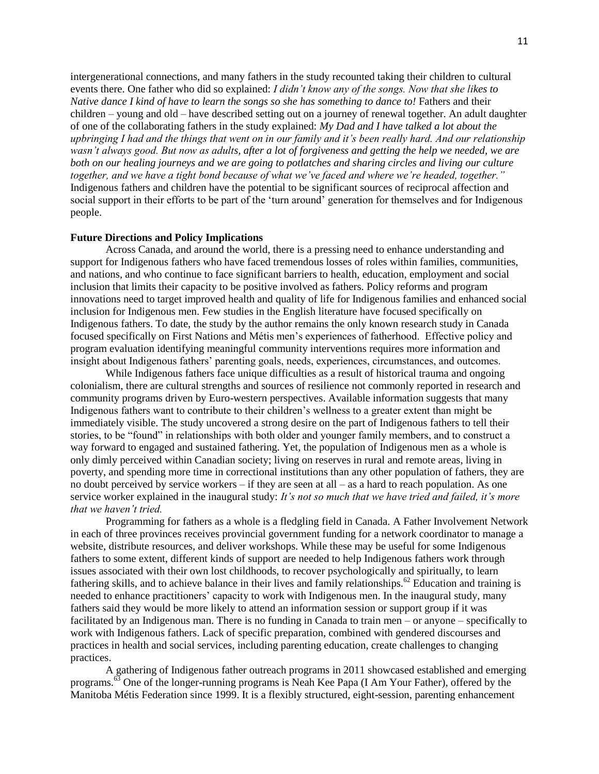intergenerational connections, and many fathers in the study recounted taking their children to cultural events there. One father who did so explained: *I didn't know any of the songs. Now that she likes to Native dance I kind of have to learn the songs so she has something to dance to!* Fathers and their children – young and old – have described setting out on a journey of renewal together. An adult daughter of one of the collaborating fathers in the study explained: *My Dad and I have talked a lot about the upbringing I had and the things that went on in our family and it's been really hard. And our relationship wasn't always good. But now as adults, after a lot of forgiveness and getting the help we needed, we are both on our healing journeys and we are going to potlatches and sharing circles and living our culture together, and we have a tight bond because of what we've faced and where we're headed, together."*  Indigenous fathers and children have the potential to be significant sources of reciprocal affection and social support in their efforts to be part of the 'turn around' generation for themselves and for Indigenous people.

## **Future Directions and Policy Implications**

Across Canada, and around the world, there is a pressing need to enhance understanding and support for Indigenous fathers who have faced tremendous losses of roles within families, communities, and nations, and who continue to face significant barriers to health, education, employment and social inclusion that limits their capacity to be positive involved as fathers. Policy reforms and program innovations need to target improved health and quality of life for Indigenous families and enhanced social inclusion for Indigenous men. Few studies in the English literature have focused specifically on Indigenous fathers. To date, the study by the author remains the only known research study in Canada focused specifically on First Nations and Métis men's experiences of fatherhood. Effective policy and program evaluation identifying meaningful community interventions requires more information and insight about Indigenous fathers' parenting goals, needs, experiences, circumstances, and outcomes.

While Indigenous fathers face unique difficulties as a result of historical trauma and ongoing colonialism, there are cultural strengths and sources of resilience not commonly reported in research and community programs driven by Euro-western perspectives. Available information suggests that many Indigenous fathers want to contribute to their children's wellness to a greater extent than might be immediately visible. The study uncovered a strong desire on the part of Indigenous fathers to tell their stories, to be "found" in relationships with both older and younger family members, and to construct a way forward to engaged and sustained fathering. Yet, the population of Indigenous men as a whole is only dimly perceived within Canadian society; living on reserves in rural and remote areas, living in poverty, and spending more time in correctional institutions than any other population of fathers, they are no doubt perceived by service workers – if they are seen at all – as a hard to reach population. As one service worker explained in the inaugural study: *It's not so much that we have tried and failed, it's more that we haven't tried.*

Programming for fathers as a whole is a fledgling field in Canada. A Father Involvement Network in each of three provinces receives provincial government funding for a network coordinator to manage a website, distribute resources, and deliver workshops. While these may be useful for some Indigenous fathers to some extent, different kinds of support are needed to help Indigenous fathers work through issues associated with their own lost childhoods, to recover psychologically and spiritually, to learn fathering skills, and to achieve balance in their lives and family relationships.<sup>62</sup> Education and training is needed to enhance practitioners' capacity to work with Indigenous men. In the inaugural study, many fathers said they would be more likely to attend an information session or support group if it was facilitated by an Indigenous man. There is no funding in Canada to train men – or anyone – specifically to work with Indigenous fathers. Lack of specific preparation, combined with gendered discourses and practices in health and social services, including parenting education, create challenges to changing practices.

A gathering of Indigenous father outreach programs in 2011 showcased established and emerging programs.<sup>63</sup> One of the longer-running programs is Neah Kee Papa (I Am Your Father), offered by the Manitoba Métis Federation since 1999. It is a flexibly structured, eight-session, parenting enhancement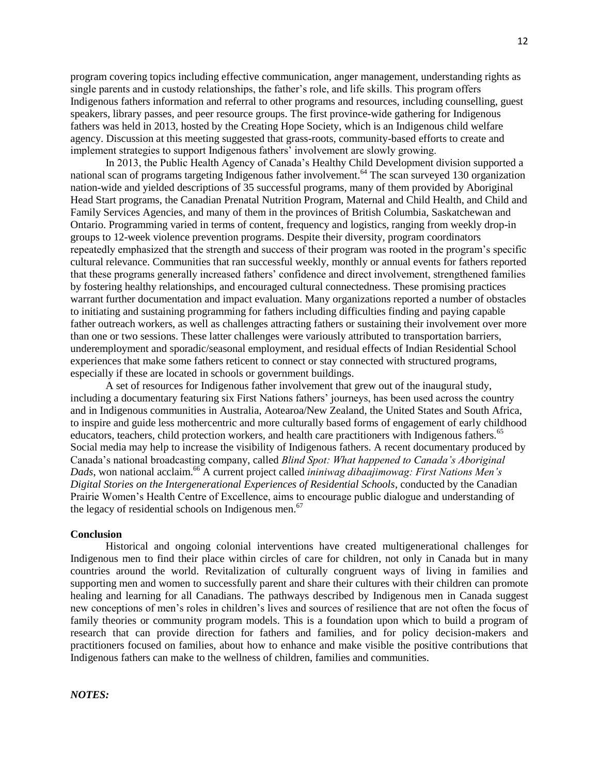program covering topics including effective communication, anger management, understanding rights as single parents and in custody relationships, the father's role, and life skills. This program offers Indigenous fathers information and referral to other programs and resources, including counselling, guest speakers, library passes, and peer resource groups. The first province-wide gathering for Indigenous fathers was held in 2013, hosted by the Creating Hope Society, which is an Indigenous child welfare agency. Discussion at this meeting suggested that grass-roots, community-based efforts to create and implement strategies to support Indigenous fathers' involvement are slowly growing.

In 2013, the Public Health Agency of Canada's Healthy Child Development division supported a national scan of programs targeting Indigenous father involvement.<sup>64</sup> The scan surveyed 130 organization nation-wide and yielded descriptions of 35 successful programs, many of them provided by Aboriginal Head Start programs, the Canadian Prenatal Nutrition Program, Maternal and Child Health, and Child and Family Services Agencies, and many of them in the provinces of British Columbia, Saskatchewan and Ontario. Programming varied in terms of content, frequency and logistics, ranging from weekly drop-in groups to 12-week violence prevention programs. Despite their diversity, program coordinators repeatedly emphasized that the strength and success of their program was rooted in the program's specific cultural relevance. Communities that ran successful weekly, monthly or annual events for fathers reported that these programs generally increased fathers' confidence and direct involvement, strengthened families by fostering healthy relationships, and encouraged cultural connectedness. These promising practices warrant further documentation and impact evaluation. Many organizations reported a number of obstacles to initiating and sustaining programming for fathers including difficulties finding and paying capable father outreach workers, as well as challenges attracting fathers or sustaining their involvement over more than one or two sessions. These latter challenges were variously attributed to transportation barriers, underemployment and sporadic/seasonal employment, and residual effects of Indian Residential School experiences that make some fathers reticent to connect or stay connected with structured programs, especially if these are located in schools or government buildings.

A set of resources for Indigenous father involvement that grew out of the inaugural study, including a documentary featuring six First Nations fathers' journeys, has been used across the country and in Indigenous communities in Australia, Aotearoa/New Zealand, the United States and South Africa, to inspire and guide less mothercentric and more culturally based forms of engagement of early childhood educators, teachers, child protection workers, and health care practitioners with Indigenous fathers.<sup>65</sup> Social media may help to increase the visibility of Indigenous fathers. A recent documentary produced by Canada's national broadcasting company, called *Blind Spot: What happened to Canada's Aboriginal Dads*, won national acclaim.<sup>66</sup> A current project called *ininiwag dibaajimowag: First Nations Men's Digital Stories on the Intergenerational Experiences of Residential Schools*, conducted by the Canadian Prairie Women's Health Centre of Excellence, aims to encourage public dialogue and understanding of the legacy of residential schools on Indigenous men.<sup>67</sup>

### **Conclusion**

Historical and ongoing colonial interventions have created multigenerational challenges for Indigenous men to find their place within circles of care for children, not only in Canada but in many countries around the world. Revitalization of culturally congruent ways of living in families and supporting men and women to successfully parent and share their cultures with their children can promote healing and learning for all Canadians. The pathways described by Indigenous men in Canada suggest new conceptions of men's roles in children's lives and sources of resilience that are not often the focus of family theories or community program models. This is a foundation upon which to build a program of research that can provide direction for fathers and families, and for policy decision-makers and practitioners focused on families, about how to enhance and make visible the positive contributions that Indigenous fathers can make to the wellness of children, families and communities.

*NOTES:*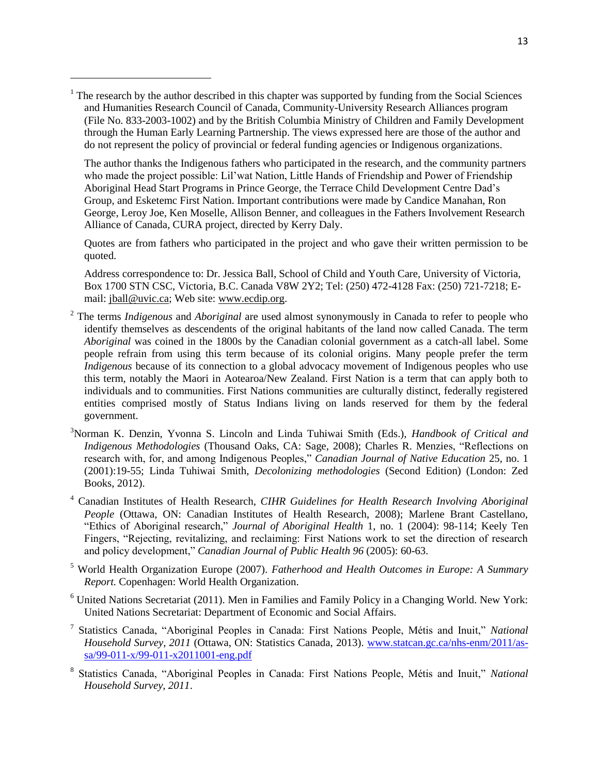$1$  The research by the author described in this chapter was supported by funding from the Social Sciences and Humanities Research Council of Canada, Community-University Research Alliances program (File No. 833-2003-1002) and by the British Columbia Ministry of Children and Family Development through the Human Early Learning Partnership. The views expressed here are those of the author and do not represent the policy of provincial or federal funding agencies or Indigenous organizations.

 $\overline{\phantom{a}}$ 

The author thanks the Indigenous fathers who participated in the research, and the community partners who made the project possible: Lil'wat Nation, Little Hands of Friendship and Power of Friendship Aboriginal Head Start Programs in Prince George, the Terrace Child Development Centre Dad's Group, and Esketemc First Nation. Important contributions were made by Candice Manahan, Ron George, Leroy Joe, Ken Moselle, Allison Benner, and colleagues in the Fathers Involvement Research Alliance of Canada, CURA project, directed by Kerry Daly.

Quotes are from fathers who participated in the project and who gave their written permission to be quoted.

Address correspondence to: Dr. Jessica Ball, School of Child and Youth Care, University of Victoria, Box 1700 STN CSC, Victoria, B.C. Canada V8W 2Y2; Tel: (250) 472-4128 Fax: (250) 721-7218; Email: [jball@uvic.ca;](mailto:jball@uvic.ca) Web site: [www.ecdip.org.](http://www.ecdip.org/)

- <sup>2</sup> The terms *Indigenous* and *Aboriginal* are used almost synonymously in Canada to refer to people who identify themselves as descendents of the original habitants of the land now called Canada. The term *Aboriginal* was coined in the 1800s by the Canadian colonial government as a catch-all label. Some people refrain from using this term because of its colonial origins. Many people prefer the term *Indigenous* because of its connection to a global advocacy movement of Indigenous peoples who use this term, notably the Maori in Aotearoa/New Zealand. First Nation is a term that can apply both to individuals and to communities. First Nations communities are culturally distinct, federally registered entities comprised mostly of Status Indians living on lands reserved for them by the federal government.
- <sup>3</sup>Norman K. Denzin, Yvonna S. Lincoln and Linda Tuhiwai Smith (Eds.), *Handbook of Critical and Indigenous Methodologies* (Thousand Oaks, CA: Sage, 2008); Charles R. Menzies, "Reflections on research with, for, and among Indigenous Peoples," *Canadian Journal of Native Education* 25, no. 1 (2001):19-55; Linda Tuhiwai Smith, *Decolonizing methodologies* (Second Edition) (London: Zed Books, 2012).
- <sup>4</sup> Canadian Institutes of Health Research, *CIHR Guidelines for Health Research Involving Aboriginal People* (Ottawa, ON: Canadian Institutes of Health Research, 2008); Marlene Brant Castellano, "Ethics of Aboriginal research," *Journal of Aboriginal Health* 1, no. 1 (2004): 98-114; Keely Ten Fingers, "Rejecting, revitalizing, and reclaiming: First Nations work to set the direction of research and policy development," *Canadian Journal of Public Health 96* (2005): 60-63.
- <sup>5</sup> World Health Organization Europe (2007). *Fatherhood and Health Outcomes in Europe: A Summary Report.* Copenhagen: World Health Organization.
- $6$  United Nations Secretariat (2011). Men in Families and Family Policy in a Changing World. New York: United Nations Secretariat: Department of Economic and Social Affairs.
- 7 Statistics Canada, "Aboriginal Peoples in Canada: First Nations People, Métis and Inuit," *National Household Survey, 2011* (Ottawa, ON: Statistics Canada, 2013). [www.statcan.gc.ca/nhs-enm/2011/as](http://www.statcan.gc.ca/nhs-enm/2011/as-sa/99-011-x/99-011-x2011001-eng.pdf)[sa/99-011-x/99-011-x2011001-eng.pdf](http://www.statcan.gc.ca/nhs-enm/2011/as-sa/99-011-x/99-011-x2011001-eng.pdf)
- 8 Statistics Canada, "Aboriginal Peoples in Canada: First Nations People, Métis and Inuit," *National Household Survey, 2011*.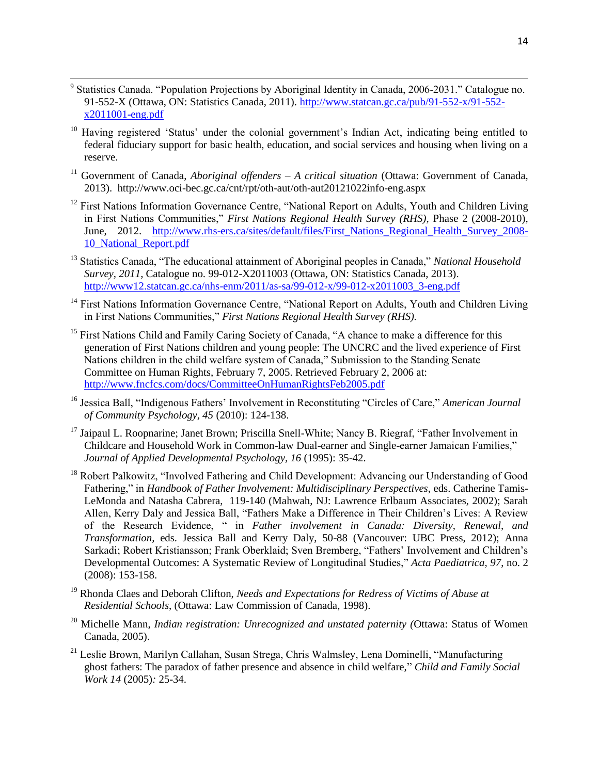<sup>9</sup> Statistics Canada. "Population Projections by Aboriginal Identity in Canada, 2006-2031." Catalogue no. 91-552-X (Ottawa, ON: Statistics Canada, 2011). [http://www.statcan.gc.ca/pub/91-552-x/91-552](http://www.statcan.gc.ca/pub/91-552-x/91-552-x2011001-eng.pdf) [x2011001-eng.pdf](http://www.statcan.gc.ca/pub/91-552-x/91-552-x2011001-eng.pdf)

- <sup>10</sup> Having registered 'Status' under the colonial government's Indian Act, indicating being entitled to federal fiduciary support for basic health, education, and social services and housing when living on a reserve.
- <sup>11</sup> Government of Canada, *Aboriginal offenders A critical situation* (Ottawa: Government of Canada, 2013). http://www.oci-bec.gc.ca/cnt/rpt/oth-aut/oth-aut20121022info-eng.aspx
- <sup>12</sup> First Nations Information Governance Centre, "National Report on Adults, Youth and Children Living in First Nations Communities," *First Nations Regional Health Survey (RHS)*, Phase 2 (2008-2010), June, 2012. [http://www.rhs-ers.ca/sites/default/files/First\\_Nations\\_Regional\\_Health\\_Survey\\_2008-](http://www.rhs-ers.ca/sites/default/files/First_Nations_Regional_Health_Survey_2008-10_National_Report.pdf) 10 National Report.pdf
- <sup>13</sup> Statistics Canada, "The educational attainment of Aboriginal peoples in Canada," *National Household Survey, 2011*, Catalogue no. 99-012-X2011003 (Ottawa, ON: Statistics Canada, 2013). [http://www12.statcan.gc.ca/nhs-enm/2011/as-sa/99-012-x/99-012-x2011003\\_3-eng.pdf](http://www12.statcan.gc.ca/nhs-enm/2011/as-sa/99-012-x/99-012-x2011003_3-eng.pdf)
- <sup>14</sup> First Nations Information Governance Centre, "National Report on Adults, Youth and Children Living in First Nations Communities," *First Nations Regional Health Survey (RHS).*
- <sup>15</sup> First Nations Child and Family Caring Society of Canada, "A chance to make a difference for this generation of First Nations children and young people: The UNCRC and the lived experience of First Nations children in the child welfare system of Canada," Submission to the Standing Senate Committee on Human Rights, February 7, 2005. Retrieved February 2, 2006 at: <http://www.fncfcs.com/docs/CommitteeOnHumanRightsFeb2005.pdf>
- <sup>16</sup> Jessica Ball, "Indigenous Fathers' Involvement in Reconstituting "Circles of Care," *American Journal of Community Psychology, 45* (2010): 124-138.
- <sup>17</sup> Jaipaul L. Roopnarine; Janet Brown; Priscilla Snell-White; Nancy B. Riegraf, "Father Involvement in Childcare and Household Work in Common-law Dual-earner and Single-earner Jamaican Families," *Journal of Applied Developmental Psychology, 16* (1995): 35-42.
- <sup>18</sup> Robert Palkowitz, "Involved Fathering and Child Development: Advancing our Understanding of Good Fathering," in *Handbook of Father Involvement: Multidisciplinary Perspectives, eds. Catherine Tamis-*LeMonda and Natasha Cabrera, 119-140 (Mahwah, NJ: Lawrence Erlbaum Associates, 2002); Sarah Allen, Kerry Daly and Jessica Ball, "Fathers Make a Difference in Their Children's Lives: A Review of the Research Evidence, " in *Father involvement in Canada: Diversity, Renewal, and Transformation,* eds. Jessica Ball and Kerry Daly, 50-88 (Vancouver: UBC Press, 2012); Anna Sarkadi; Robert Kristiansson; Frank Oberklaid; Sven Bremberg, "Fathers' Involvement and Children's Developmental Outcomes: A Systematic Review of Longitudinal Studies," *Acta Paediatrica, 97*, no. 2 (2008): 153-158.
- <sup>19</sup> Rhonda Claes and Deborah Clifton, *Needs and Expectations for Redress of Victims of Abuse at Residential Schools*, (Ottawa: Law Commission of Canada, 1998).
- <sup>20</sup> Michelle Mann, *Indian registration: Unrecognized and unstated paternity (*Ottawa: Status of Women Canada, 2005).
- <sup>21</sup> Leslie Brown, Marilyn Callahan, Susan Strega, Chris Walmsley, Lena Dominelli, "Manufacturing ghost fathers: The paradox of father presence and absence in child welfare," *Child and Family Social Work 14* (2005)*:* 25-34.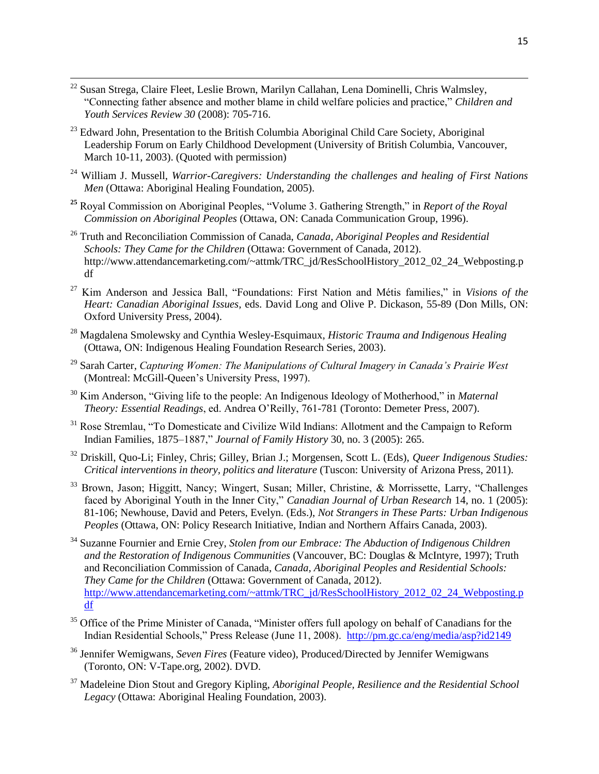<sup>22</sup> Susan Strega, Claire Fleet, Leslie Brown, Marilyn Callahan, Lena Dominelli, Chris Walmsley, "Connecting father absence and mother blame in child welfare policies and practice," *Children and Youth Services Review 30* (2008): 705-716.

- <sup>23</sup> Edward John, Presentation to the British Columbia Aboriginal Child Care Society, Aboriginal Leadership Forum on Early Childhood Development (University of British Columbia, Vancouver, March 10-11, 2003). (Quoted with permission)
- <sup>24</sup> William J. Mussell, *Warrior-Caregivers: Understanding the challenges and healing of First Nations Men* (Ottawa: Aboriginal Healing Foundation, 2005).
- **<sup>25</sup>** Royal Commission on Aboriginal Peoples, "Volume 3. Gathering Strength," in *Report of the Royal Commission on Aboriginal Peoples* (Ottawa, ON: Canada Communication Group, 1996).
- <sup>26</sup> Truth and Reconciliation Commission of Canada, *Canada, Aboriginal Peoples and Residential Schools: They Came for the Children* (Ottawa: Government of Canada, 2012). http://www.attendancemarketing.com/~attmk/TRC\_jd/ResSchoolHistory\_2012\_02\_24\_Webposting.p df
- <sup>27</sup> Kim Anderson and Jessica Ball, "Foundations: First Nation and Métis families," in *Visions of the Heart: Canadian Aboriginal Issues,* eds. David Long and Olive P. Dickason, 55-89 (Don Mills, ON: Oxford University Press, 2004).
- <sup>28</sup> Magdalena Smolewsky and Cynthia Wesley-Esquimaux, *Historic Trauma and Indigenous Healing* (Ottawa, ON: Indigenous Healing Foundation Research Series, 2003).
- <sup>29</sup> Sarah Carter, *Capturing Women: The Manipulations of Cultural Imagery in Canada's Prairie West*  (Montreal: McGill-Queen's University Press, 1997).
- <sup>30</sup> Kim Anderson, "Giving life to the people: An Indigenous Ideology of Motherhood," in *Maternal Theory: Essential Readings*, ed. Andrea O'Reilly, 761-781 (Toronto: Demeter Press, 2007).
- <sup>31</sup> Rose Stremlau, "To Domesticate and Civilize Wild Indians: Allotment and the Campaign to Reform Indian Families, 1875–1887," *Journal of Family History* 30, no. 3 (2005): 265.
- <sup>32</sup> Driskill, Quo-Li; Finley, Chris; Gilley, Brian J.; Morgensen, Scott L. (Eds), *Queer Indigenous Studies: Critical interventions in theory, politics and literature* (Tuscon: University of Arizona Press, 2011).
- <sup>33</sup> Brown, Jason; Higgitt, Nancy; Wingert, Susan; Miller, Christine, & Morrissette, Larry, "Challenges faced by Aboriginal Youth in the Inner City," *Canadian Journal of Urban Research* 14, no. 1 (2005): 81-106; Newhouse, David and Peters, Evelyn. (Eds.), *Not Strangers in These Parts: Urban Indigenous Peoples* (Ottawa, ON: Policy Research Initiative, Indian and Northern Affairs Canada, 2003).
- <sup>34</sup> Suzanne Fournier and Ernie Crey, *Stolen from our Embrace: The Abduction of Indigenous Children and the Restoration of Indigenous Communities* (Vancouver, BC: Douglas & McIntyre, 1997); Truth and Reconciliation Commission of Canada, *Canada, Aboriginal Peoples and Residential Schools: They Came for the Children* (Ottawa: Government of Canada, 2012). [http://www.attendancemarketing.com/~attmk/TRC\\_jd/ResSchoolHistory\\_2012\\_02\\_24\\_Webposting.p](http://www.attendancemarketing.com/~attmk/TRC_jd/ResSchoolHistory_2012_02_24_Webposting.pdf) [df](http://www.attendancemarketing.com/~attmk/TRC_jd/ResSchoolHistory_2012_02_24_Webposting.pdf)
- <sup>35</sup> Office of the Prime Minister of Canada, "Minister offers full apology on behalf of Canadians for the Indian Residential Schools," Press Release (June 11, 2008). <http://pm.gc.ca/eng/media/asp?id2149>
- <sup>36</sup> Jennifer Wemigwans, *Seven Fires* (Feature video), Produced/Directed by Jennifer Wemigwans (Toronto, ON: V-Tape.org, 2002). DVD.
- <sup>37</sup> Madeleine Dion Stout and Gregory Kipling, *Aboriginal People, Resilience and the Residential School Legacy* (Ottawa: Aboriginal Healing Foundation, 2003).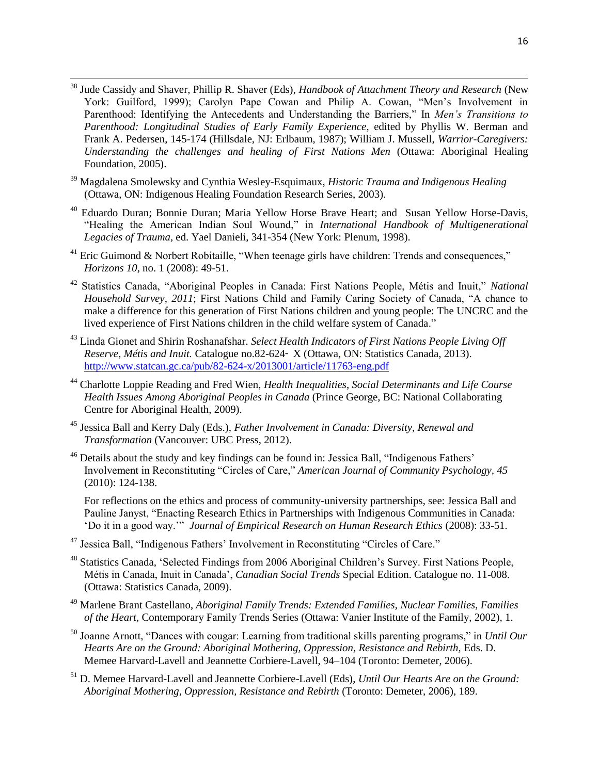<sup>38</sup> Jude Cassidy and Shaver, Phillip R. Shaver (Eds), *Handbook of Attachment Theory and Research* (New York: Guilford, 1999); Carolyn Pape Cowan and Philip A. Cowan, "Men's Involvement in Parenthood: Identifying the Antecedents and Understanding the Barriers," In *Men's Transitions to Parenthood: Longitudinal Studies of Early Family Experience*, edited by Phyllis W. Berman and Frank A. Pedersen, 145-174 (Hillsdale, NJ: Erlbaum, 1987); William J. Mussell, *Warrior-Caregivers: Understanding the challenges and healing of First Nations Men* (Ottawa: Aboriginal Healing Foundation, 2005).

- <sup>39</sup> Magdalena Smolewsky and Cynthia Wesley-Esquimaux, *Historic Trauma and Indigenous Healing* (Ottawa, ON: Indigenous Healing Foundation Research Series, 2003).
- <sup>40</sup> Eduardo Duran; Bonnie Duran; Maria Yellow Horse Brave Heart; and Susan Yellow Horse-Davis, "Healing the American Indian Soul Wound," in *International Handbook of Multigenerational Legacies of Trauma*, ed. Yael Danieli, 341-354 (New York: Plenum, 1998).
- <sup>41</sup> Eric Guimond & Norbert Robitaille, "When teenage girls have children: Trends and consequences," *Horizons 10*, no. 1 (2008): 49-51.
- <sup>42</sup> Statistics Canada, "Aboriginal Peoples in Canada: First Nations People, Métis and Inuit," *National Household Survey, 2011*; First Nations Child and Family Caring Society of Canada, "A chance to make a difference for this generation of First Nations children and young people: The UNCRC and the lived experience of First Nations children in the child welfare system of Canada."
- <sup>43</sup> Linda Gionet and Shirin Roshanafshar. *Select Health Indicators of First Nations People Living Off Reserve, Métis and Inuit.* Catalogue no.82-624‑ X (Ottawa, ON: Statistics Canada, 2013). <http://www.statcan.gc.ca/pub/82-624-x/2013001/article/11763-eng.pdf>
- <sup>44</sup> Charlotte Loppie Reading and Fred Wien, *Health Inequalities, Social Determinants and Life Course Health Issues Among Aboriginal Peoples in Canada* (Prince George, BC: National Collaborating Centre for Aboriginal Health, 2009).
- <sup>45</sup> Jessica Ball and Kerry Daly (Eds.), *Father Involvement in Canada: Diversity, Renewal and Transformation* (Vancouver: UBC Press, 2012).
- <sup>46</sup> Details about the study and key findings can be found in: Jessica Ball, "Indigenous Fathers' Involvement in Reconstituting "Circles of Care," *American Journal of Community Psychology, 45*  (2010): 124-138.
	- For reflections on the ethics and process of community-university partnerships, see: Jessica Ball and Pauline Janyst, "Enacting Research Ethics in Partnerships with Indigenous Communities in Canada: 'Do it in a good way.'" *Journal of Empirical Research on Human Research Ethics* (2008): 33-51.
- <sup>47</sup> Jessica Ball, "Indigenous Fathers' Involvement in Reconstituting "Circles of Care."
- <sup>48</sup> Statistics Canada, 'Selected Findings from 2006 Aboriginal Children's Survey. First Nations People, Métis in Canada, Inuit in Canada', *Canadian Social Trends* Special Edition. Catalogue no. 11-008. (Ottawa: Statistics Canada, 2009).
- <sup>49</sup> Marlene Brant Castellano, *Aboriginal Family Trends: Extended Families, Nuclear Families, Families of the Heart*, Contemporary Family Trends Series (Ottawa: Vanier Institute of the Family, 2002), 1.
- <sup>50</sup> Joanne Arnott, "Dances with cougar: Learning from traditional skills parenting programs," in *Until Our Hearts Are on the Ground: Aboriginal Mothering, Oppression, Resistance and Rebirth,* Eds. D. Memee Harvard-Lavell and Jeannette Corbiere-Lavell, 94–104 (Toronto: Demeter, 2006).
- <sup>51</sup> D. Memee Harvard-Lavell and Jeannette Corbiere-Lavell (Eds), *Until Our Hearts Are on the Ground: Aboriginal Mothering, Oppression, Resistance and Rebirth* (Toronto: Demeter, 2006), 189.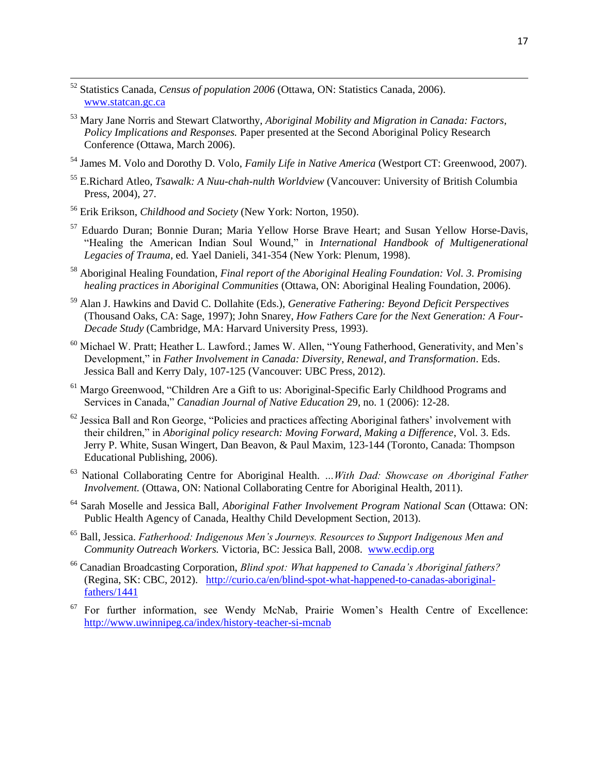<sup>52</sup> Statistics Canada, *Census of population 2006* (Ottawa, ON: Statistics Canada, 2006). [www.statcan.gc.ca](http://www.statcan.gc.ca/)

- <sup>53</sup> Mary Jane Norris and Stewart Clatworthy, *Aboriginal Mobility and Migration in Canada: Factors, Policy Implications and Responses.* Paper presented at the Second Aboriginal Policy Research Conference (Ottawa, March 2006).
- <sup>54</sup> James M. Volo and Dorothy D. Volo, *Family Life in Native America* (Westport CT: Greenwood, 2007).
- <sup>55</sup> E.Richard Atleo, *Tsawalk: A Nuu-chah-nulth Worldview* (Vancouver: University of British Columbia Press, 2004), 27.
- <sup>56</sup> Erik Erikson, *Childhood and Society* (New York: Norton, 1950).

- <sup>57</sup> Eduardo Duran; Bonnie Duran; Maria Yellow Horse Brave Heart; and Susan Yellow Horse-Davis, "Healing the American Indian Soul Wound," in *International Handbook of Multigenerational Legacies of Trauma*, ed. Yael Danieli, 341-354 (New York: Plenum, 1998).
- <sup>58</sup> Aboriginal Healing Foundation, *Final report of the Aboriginal Healing Foundation: Vol. 3. Promising healing practices in Aboriginal Communities* (Ottawa, ON: Aboriginal Healing Foundation, 2006).
- <sup>59</sup> Alan J. Hawkins and David C. Dollahite (Eds.), *Generative Fathering: Beyond Deficit Perspectives*  (Thousand Oaks, CA: Sage, 1997); John Snarey, *How Fathers Care for the Next Generation: A Four-Decade Study* (Cambridge, MA: Harvard University Press, 1993).
- <sup>60</sup> Michael W. Pratt; Heather L. Lawford.; James W. Allen, "Young Fatherhood, Generativity, and Men's Development," in *Father Involvement in Canada: Diversity, Renewal, and Transformation*. Eds. Jessica Ball and Kerry Daly, 107-125 (Vancouver: UBC Press, 2012).
- <sup>61</sup> Margo Greenwood, "Children Are a Gift to us: Aboriginal-Specific Early Childhood Programs and Services in Canada," *Canadian Journal of Native Education* 29, no. 1 (2006): 12-28.
- $62$  Jessica Ball and Ron George, "Policies and practices affecting Aboriginal fathers' involvement with their children," in *Aboriginal policy research: Moving Forward, Making a Difference*, Vol. 3. Eds. Jerry P. White, Susan Wingert, Dan Beavon, & Paul Maxim, 123-144 (Toronto, Canada: Thompson Educational Publishing, 2006).
- <sup>63</sup> National Collaborating Centre for Aboriginal Health. *…With Dad: Showcase on Aboriginal Father Involvement.* (Ottawa, ON: National Collaborating Centre for Aboriginal Health, 2011).
- <sup>64</sup> Sarah Moselle and Jessica Ball, *Aboriginal Father Involvement Program National Scan* (Ottawa: ON: Public Health Agency of Canada, Healthy Child Development Section, 2013).
- <sup>65</sup> Ball, Jessica. *Fatherhood: Indigenous Men's Journeys. Resources to Support Indigenous Men and Community Outreach Workers.* Victoria, BC: Jessica Ball, 2008. [www.ecdip.org](http://www.ecdip.org/)
- <sup>66</sup> Canadian Broadcasting Corporation, *Blind spot: What happened to Canada's Aboriginal fathers?* (Regina, SK: CBC, 2012). [http://curio.ca/en/blind-spot-what-happened-to-canadas-aboriginal](http://curio.ca/en/blind-spot-what-happened-to-canadas-aboriginal-fathers/1441)[fathers/1441](http://curio.ca/en/blind-spot-what-happened-to-canadas-aboriginal-fathers/1441)
- <sup>67</sup> For further information, see Wendy McNab, Prairie Women's Health Centre of Excellence: <http://www.uwinnipeg.ca/index/history-teacher-si-mcnab>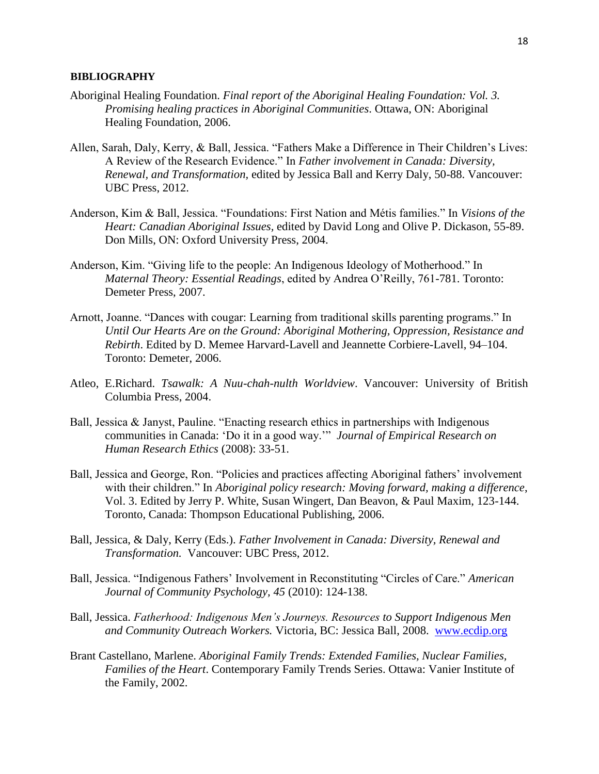### **BIBLIOGRAPHY**

- Aboriginal Healing Foundation. *Final report of the Aboriginal Healing Foundation: Vol. 3. Promising healing practices in Aboriginal Communities*. Ottawa, ON: Aboriginal Healing Foundation, 2006.
- Allen, Sarah, Daly, Kerry, & Ball, Jessica. "Fathers Make a Difference in Their Children's Lives: A Review of the Research Evidence." In *Father involvement in Canada: Diversity, Renewal, and Transformation,* edited by Jessica Ball and Kerry Daly, 50-88. Vancouver: UBC Press, 2012.
- Anderson, Kim & Ball, Jessica. "Foundations: First Nation and Métis families." In *Visions of the Heart: Canadian Aboriginal Issues,* edited by David Long and Olive P. Dickason, 55-89. Don Mills, ON: Oxford University Press, 2004.
- Anderson, Kim. "Giving life to the people: An Indigenous Ideology of Motherhood." In *Maternal Theory: Essential Readings*, edited by Andrea O'Reilly, 761-781. Toronto: Demeter Press, 2007.
- Arnott, Joanne. "Dances with cougar: Learning from traditional skills parenting programs." In *Until Our Hearts Are on the Ground: Aboriginal Mothering, Oppression, Resistance and Rebirth*. Edited by D. Memee Harvard-Lavell and Jeannette Corbiere-Lavell, 94–104. Toronto: Demeter, 2006.
- Atleo, E.Richard. *Tsawalk: A Nuu-chah-nulth Worldview*. Vancouver: University of British Columbia Press, 2004.
- Ball, Jessica & Janyst, Pauline. "Enacting research ethics in partnerships with Indigenous communities in Canada: 'Do it in a good way.'" *Journal of Empirical Research on Human Research Ethics* (2008): 33-51.
- Ball, Jessica and George, Ron. "Policies and practices affecting Aboriginal fathers' involvement with their children." In *Aboriginal policy research: Moving forward, making a difference*, Vol. 3. Edited by Jerry P. White, Susan Wingert, Dan Beavon, & Paul Maxim, 123-144. Toronto, Canada: Thompson Educational Publishing, 2006.
- Ball, Jessica, & Daly, Kerry (Eds.). *Father Involvement in Canada: Diversity, Renewal and Transformation.* Vancouver: UBC Press, 2012.
- Ball, Jessica. "Indigenous Fathers' Involvement in Reconstituting "Circles of Care." *American Journal of Community Psychology, 45* (2010): 124-138.
- Ball, Jessica. *Fatherhood: Indigenous Men's Journeys. Resources to Support Indigenous Men and Community Outreach Workers.* Victoria, BC: Jessica Ball, 2008. [www.ecdip.org](http://www.ecdip.org/)
- Brant Castellano, Marlene. *Aboriginal Family Trends: Extended Families, Nuclear Families, Families of the Heart*. Contemporary Family Trends Series. Ottawa: Vanier Institute of the Family, 2002.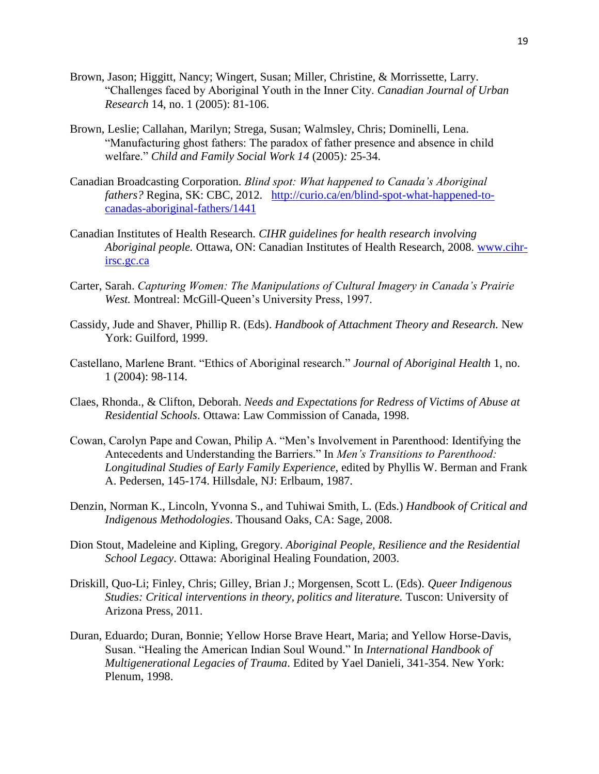- Brown, Jason; Higgitt, Nancy; Wingert, Susan; Miller, Christine, & Morrissette, Larry. "Challenges faced by Aboriginal Youth in the Inner City. *Canadian Journal of Urban Research* 14, no. 1 (2005): 81-106.
- Brown, Leslie; Callahan, Marilyn; Strega, Susan; Walmsley, Chris; Dominelli, Lena. "Manufacturing ghost fathers: The paradox of father presence and absence in child welfare." *Child and Family Social Work 14* (2005)*:* 25-34.
- Canadian Broadcasting Corporation. *Blind spot: What happened to Canada's Aboriginal fathers?* Regina, SK: CBC, 2012. [http://curio.ca/en/blind-spot-what-happened-to](http://curio.ca/en/blind-spot-what-happened-to-canadas-aboriginal-fathers/1441)[canadas-aboriginal-fathers/1441](http://curio.ca/en/blind-spot-what-happened-to-canadas-aboriginal-fathers/1441)
- Canadian Institutes of Health Research. *CIHR guidelines for health research involving Aboriginal people.* Ottawa, ON: Canadian Institutes of Health Research, 2008. [www.cihr](http://www.cihr-irsc.gc.ca/)[irsc.gc.ca](http://www.cihr-irsc.gc.ca/)
- Carter, Sarah. *Capturing Women: The Manipulations of Cultural Imagery in Canada's Prairie West.* Montreal: McGill-Queen's University Press, 1997.
- Cassidy, Jude and Shaver, Phillip R. (Eds). *Handbook of Attachment Theory and Research.* New York: Guilford, 1999.
- Castellano, Marlene Brant. "Ethics of Aboriginal research." *Journal of Aboriginal Health* 1, no. 1 (2004): 98-114.
- Claes, Rhonda., & Clifton, Deborah. *Needs and Expectations for Redress of Victims of Abuse at Residential Schools*. Ottawa: Law Commission of Canada, 1998.
- Cowan, Carolyn Pape and Cowan, Philip A. "Men's Involvement in Parenthood: Identifying the Antecedents and Understanding the Barriers." In *Men's Transitions to Parenthood: Longitudinal Studies of Early Family Experience*, edited by Phyllis W. Berman and Frank A. Pedersen, 145-174. Hillsdale, NJ: Erlbaum, 1987.
- Denzin, Norman K., Lincoln, Yvonna S., and Tuhiwai Smith, L. (Eds.) *Handbook of Critical and Indigenous Methodologies*. Thousand Oaks, CA: Sage, 2008.
- Dion Stout, Madeleine and Kipling, Gregory. *Aboriginal People, Resilience and the Residential School Legacy*. Ottawa: Aboriginal Healing Foundation, 2003.
- Driskill, Quo-Li; Finley, Chris; Gilley, Brian J.; Morgensen, Scott L. (Eds). *Queer Indigenous Studies: Critical interventions in theory, politics and literature.* Tuscon: University of Arizona Press, 2011.
- Duran, Eduardo; Duran, Bonnie; Yellow Horse Brave Heart, Maria; and Yellow Horse-Davis, Susan. "Healing the American Indian Soul Wound." In *International Handbook of Multigenerational Legacies of Trauma*. Edited by Yael Danieli, 341-354. New York: Plenum, 1998.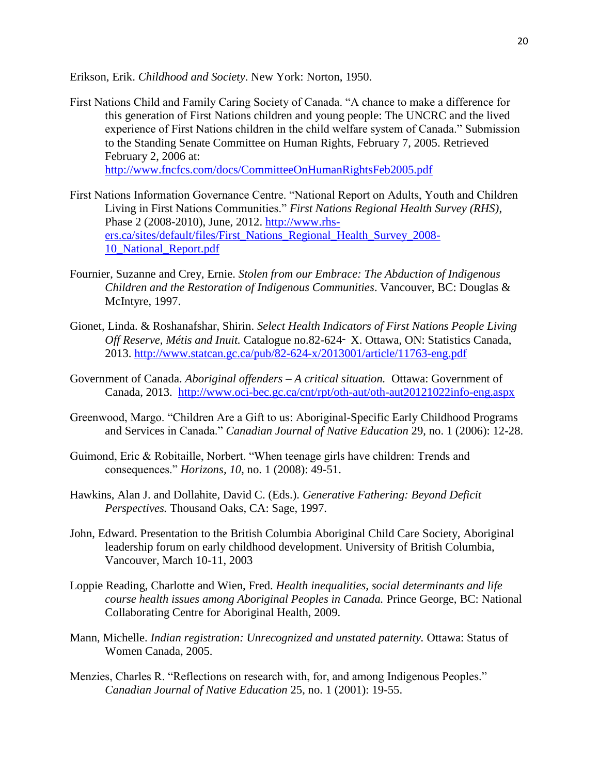Erikson, Erik. *Childhood and Society*. New York: Norton, 1950.

- First Nations Child and Family Caring Society of Canada. "A chance to make a difference for this generation of First Nations children and young people: The UNCRC and the lived experience of First Nations children in the child welfare system of Canada." Submission to the Standing Senate Committee on Human Rights, February 7, 2005. Retrieved February 2, 2006 at: <http://www.fncfcs.com/docs/CommitteeOnHumanRightsFeb2005.pdf>
- First Nations Information Governance Centre. "National Report on Adults, Youth and Children Living in First Nations Communities." *First Nations Regional Health Survey (RHS)*, Phase 2 (2008-2010), June, 2012. [http://www.rhs](http://www.rhs-ers.ca/sites/default/files/First_Nations_Regional_Health_Survey_2008-10_National_Report.pdf)[ers.ca/sites/default/files/First\\_Nations\\_Regional\\_Health\\_Survey\\_2008-](http://www.rhs-ers.ca/sites/default/files/First_Nations_Regional_Health_Survey_2008-10_National_Report.pdf) 10 National Report.pdf
- Fournier, Suzanne and Crey, Ernie. *Stolen from our Embrace: The Abduction of Indigenous Children and the Restoration of Indigenous Communities*. Vancouver, BC: Douglas & McIntyre, 1997.
- Gionet, Linda. & Roshanafshar, Shirin. *Select Health Indicators of First Nations People Living Off Reserve, Métis and Inuit.* Catalogue no.82-624‑ X. Ottawa, ON: Statistics Canada, 2013.<http://www.statcan.gc.ca/pub/82-624-x/2013001/article/11763-eng.pdf>
- Government of Canada. *Aboriginal offenders – A critical situation.* Ottawa: Government of Canada, 2013. <http://www.oci-bec.gc.ca/cnt/rpt/oth-aut/oth-aut20121022info-eng.aspx>
- Greenwood, Margo. "Children Are a Gift to us: Aboriginal-Specific Early Childhood Programs and Services in Canada." *Canadian Journal of Native Education* 29, no. 1 (2006): 12-28.
- Guimond, Eric & Robitaille, Norbert. "When teenage girls have children: Trends and consequences." *Horizons, 10*, no. 1 (2008): 49-51.
- Hawkins, Alan J. and Dollahite, David C. (Eds.). *Generative Fathering: Beyond Deficit Perspectives.* Thousand Oaks, CA: Sage, 1997.
- John, Edward. Presentation to the British Columbia Aboriginal Child Care Society, Aboriginal leadership forum on early childhood development. University of British Columbia, Vancouver, March 10-11, 2003
- Loppie Reading, Charlotte and Wien, Fred. *Health inequalities, social determinants and life course health issues among Aboriginal Peoples in Canada.* Prince George, BC: National Collaborating Centre for Aboriginal Health, 2009.
- Mann, Michelle. *Indian registration: Unrecognized and unstated paternity.* Ottawa: Status of Women Canada, 2005.
- Menzies, Charles R. "Reflections on research with, for, and among Indigenous Peoples." *Canadian Journal of Native Education* 25, no. 1 (2001): 19-55.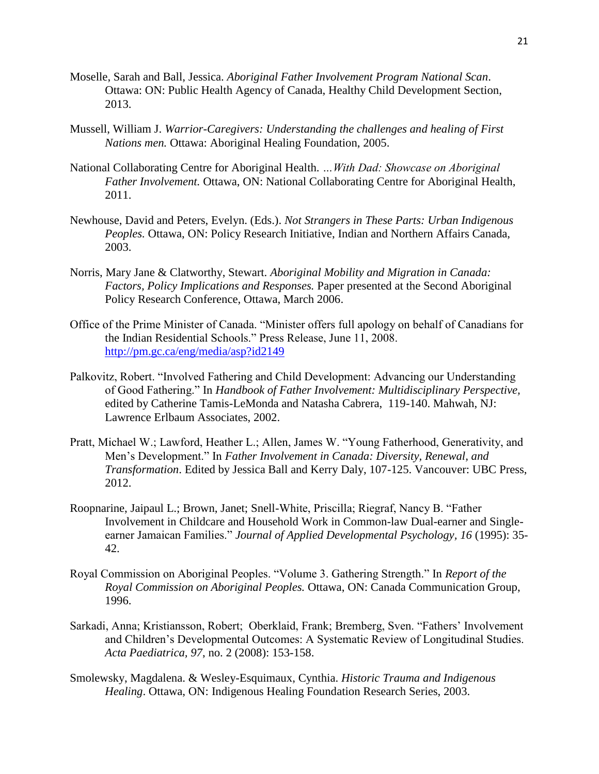- Moselle, Sarah and Ball, Jessica. *Aboriginal Father Involvement Program National Scan*. Ottawa: ON: Public Health Agency of Canada, Healthy Child Development Section, 2013.
- Mussell, William J. *Warrior-Caregivers: Understanding the challenges and healing of First Nations men.* Ottawa: Aboriginal Healing Foundation, 2005.
- National Collaborating Centre for Aboriginal Health. *…With Dad: Showcase on Aboriginal Father Involvement.* Ottawa, ON: National Collaborating Centre for Aboriginal Health, 2011.
- Newhouse, David and Peters, Evelyn. (Eds.). *Not Strangers in These Parts: Urban Indigenous Peoples.* Ottawa, ON: Policy Research Initiative, Indian and Northern Affairs Canada, 2003.
- Norris, Mary Jane & Clatworthy, Stewart. *Aboriginal Mobility and Migration in Canada: Factors, Policy Implications and Responses.* Paper presented at the Second Aboriginal Policy Research Conference, Ottawa, March 2006.
- Office of the Prime Minister of Canada. "Minister offers full apology on behalf of Canadians for the Indian Residential Schools." Press Release, June 11, 2008. <http://pm.gc.ca/eng/media/asp?id2149>
- Palkovitz, Robert. "Involved Fathering and Child Development: Advancing our Understanding of Good Fathering." In *Handbook of Father Involvement: Multidisciplinary Perspective,*  edited by Catherine Tamis-LeMonda and Natasha Cabrera, 119-140. Mahwah, NJ: Lawrence Erlbaum Associates, 2002.
- Pratt, Michael W.; Lawford, Heather L.; Allen, James W. "Young Fatherhood, Generativity, and Men's Development." In *Father Involvement in Canada: Diversity, Renewal, and Transformation*. Edited by Jessica Ball and Kerry Daly, 107-125. Vancouver: UBC Press, 2012.
- Roopnarine, Jaipaul L.; Brown, Janet; Snell-White, Priscilla; Riegraf, Nancy B. "Father Involvement in Childcare and Household Work in Common-law Dual-earner and Singleearner Jamaican Families." *Journal of Applied Developmental Psychology, 16* (1995): 35- 42.
- Royal Commission on Aboriginal Peoples. "Volume 3. Gathering Strength." In *Report of the Royal Commission on Aboriginal Peoples.* Ottawa, ON: Canada Communication Group, 1996.
- Sarkadi, Anna; Kristiansson, Robert; Oberklaid, Frank; Bremberg, Sven. "Fathers' Involvement and Children's Developmental Outcomes: A Systematic Review of Longitudinal Studies. *Acta Paediatrica, 97*, no. 2 (2008): 153-158.
- Smolewsky, Magdalena. & Wesley-Esquimaux, Cynthia. *Historic Trauma and Indigenous Healing*. Ottawa, ON: Indigenous Healing Foundation Research Series, 2003.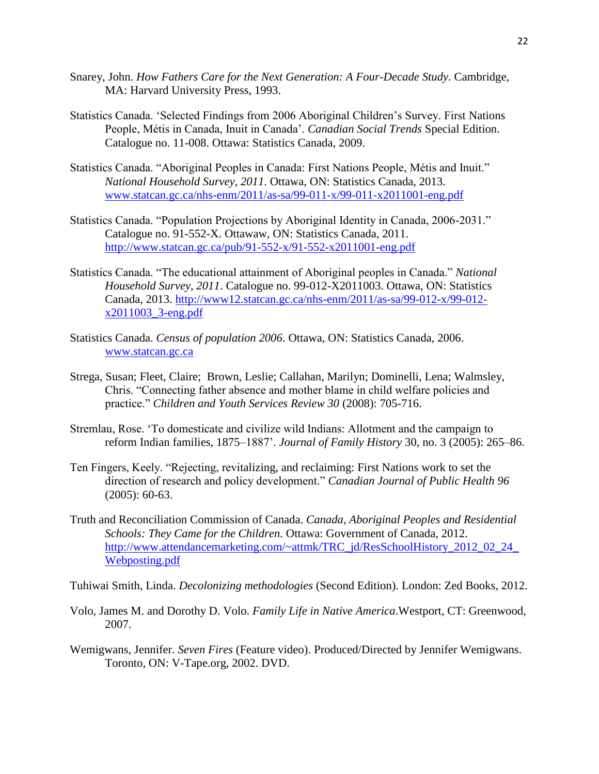- Snarey, John. *How Fathers Care for the Next Generation: A Four-Decade Study.* Cambridge, MA: Harvard University Press, 1993.
- Statistics Canada. 'Selected Findings from 2006 Aboriginal Children's Survey. First Nations People, Métis in Canada, Inuit in Canada'. *Canadian Social Trends* Special Edition. Catalogue no. 11-008. Ottawa: Statistics Canada, 2009.
- Statistics Canada. "Aboriginal Peoples in Canada: First Nations People, Métis and Inuit." *National Household Survey, 2011*. Ottawa, ON: Statistics Canada, 2013. [www.statcan.gc.ca/nhs-enm/2011/as-sa/99-011-x/99-011-x2011001-eng.pdf](http://www.statcan.gc.ca/nhs-enm/2011/as-sa/99-011-x/99-011-x2011001-eng.pdf)
- Statistics Canada. "Population Projections by Aboriginal Identity in Canada, 2006-2031." Catalogue no. 91-552-X. Ottawaw, ON: Statistics Canada, 2011. <http://www.statcan.gc.ca/pub/91-552-x/91-552-x2011001-eng.pdf>
- Statistics Canada. "The educational attainment of Aboriginal peoples in Canada." *National Household Survey, 2011*. Catalogue no. 99-012-X2011003. Ottawa, ON: Statistics Canada, 2013. [http://www12.statcan.gc.ca/nhs-enm/2011/as-sa/99-012-x/99-012](http://www12.statcan.gc.ca/nhs-enm/2011/as-sa/99-012-x/99-012-x2011003_3-eng.pdf) [x2011003\\_3-eng.pdf](http://www12.statcan.gc.ca/nhs-enm/2011/as-sa/99-012-x/99-012-x2011003_3-eng.pdf)
- Statistics Canada. *Census of population 2006*. Ottawa, ON: Statistics Canada, 2006. [www.statcan.gc.ca](http://www.statcan.gc.ca/)
- Strega, Susan; Fleet, Claire; Brown, Leslie; Callahan, Marilyn; Dominelli, Lena; Walmsley, Chris. "Connecting father absence and mother blame in child welfare policies and practice." *Children and Youth Services Review 30* (2008): 705-716.
- Stremlau, Rose. 'To domesticate and civilize wild Indians: Allotment and the campaign to reform Indian families, 1875–1887'. *Journal of Family History* 30, no. 3 (2005): 265–86.
- Ten Fingers, Keely. "Rejecting, revitalizing, and reclaiming: First Nations work to set the direction of research and policy development." *Canadian Journal of Public Health 96*  (2005): 60-63.
- Truth and Reconciliation Commission of Canada. *Canada, Aboriginal Peoples and Residential Schools: They Came for the Children.* Ottawa: Government of Canada, 2012. [http://www.attendancemarketing.com/~attmk/TRC\\_jd/ResSchoolHistory\\_2012\\_02\\_24\\_](http://www.attendancemarketing.com/~attmk/TRC_jd/ResSchoolHistory_2012_02_24_Webposting.pdf) [Webposting.pdf](http://www.attendancemarketing.com/~attmk/TRC_jd/ResSchoolHistory_2012_02_24_Webposting.pdf)
- Tuhiwai Smith, Linda. *Decolonizing methodologies* (Second Edition). London: Zed Books, 2012.
- Volo, James M. and Dorothy D. Volo. *Family Life in Native America*.Westport, CT: Greenwood, 2007.
- Wemigwans, Jennifer. *Seven Fires* (Feature video). Produced/Directed by Jennifer Wemigwans. Toronto, ON: V-Tape.org, 2002. DVD.